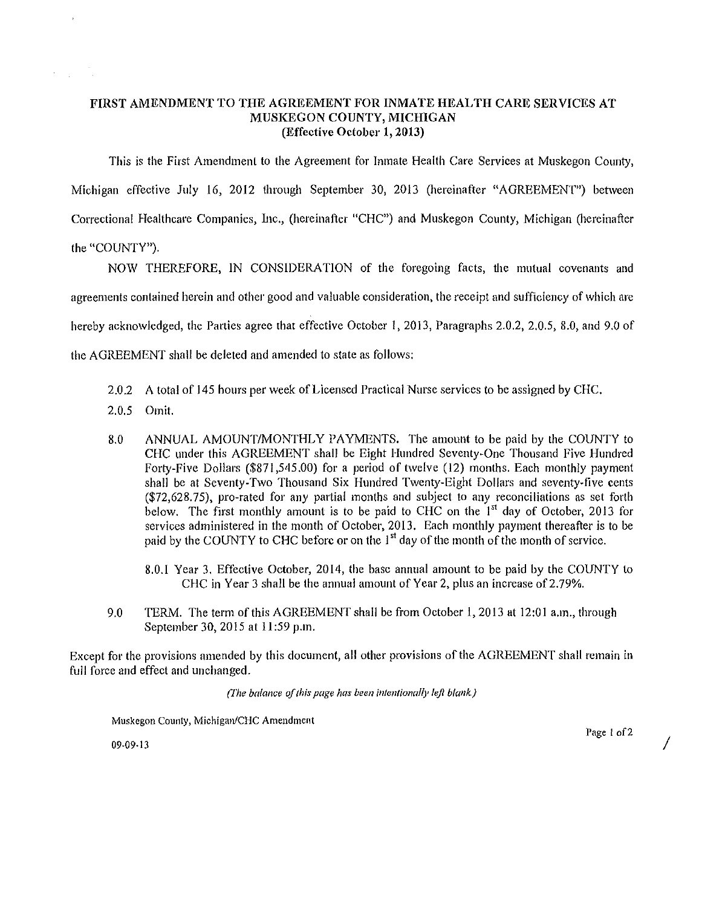## **FIRST AMENDMENT TO THE AGREEMENT FOR INMATE HEALTH CARE SERVICES AT MUSKEGON COUNTY, MICHIGAN (Effective October l, 2013)**

This is the First Amendment to the Agreement for Inmate Health Care Services at Muskegon County, Michigan effective July 16, 2012 through September 30, 2013 (hereinafter "AGREEMENT") between Correctional Healthcare Companies, Inc., (hereinafter "CHC") and Muskegon County, Michigan (hereinafter the "COUNTY").

NOW THEREFORE, IN CONSIDERATION of the foregoing facts, the mutual covenants and agreements contained herein and other good and valuable consideration, the receipt and sufficiency of which are hereby acknowledged, the Parties agree that effective October I, 2013, Paragraphs 2.0.2, 2.0.5, 8.0, and 9.0 of the AGREEMENT shall be deleted and amended to state as follows;

- 2.0.2 A total of 145 hours per week of Licensed Practical Nurse services to be assigned by CHC.
- 2.0.5 Omit.
- 8.0 ANNUAL AMOUNT/MONTHLY PAYMENTS. The amount to be paid by the COUNTY to CHC under this AGREEMENT shall be Eight Hundred Seventy-One Thousand Five Hundred Forty-Five Dollars (\$871 ,545.00) for a period of twelve (12) months. Each monthly payment shall be at Seventy-Two Thousand Six Hundred Twenty-Eight Dollars and seventy-five cents (\$72,628.75), pro-rated for any partial months and subject to any reconciliations as set forth below. The first monthly amount is to be paid to CHC on the **1'<sup>1</sup>**day of October, 2013 for services administered in the month of October, 2013. Each monthly payment thereafter is to be paid by the COUNTY to CHC before or on the  $1<sup>st</sup>$  day of the month of the month of service.
	- 8.0.1 Year 3. Effective October, 2014, the base annual amount to be paid by the COUNTY to CHC in Year 3 shall be the annual amount of Year 2, plus an increase of 2.79%.
- 9.0 TERM. The term of this AGREEMENT shall be from October I, 2013 at 12:01 a.m., through September 30, 2015 at 11:59 p.m.

Except for the provisions amended by this document, all other provisions of the AGREEMENT shall remain in full force and effect and unchanged.

*(l11e balance of this page has been intentionally left blank)* 

 $M$ uskegon County, Michigan/CHC Amendment

 $09-09-13$   $/$ 

Page 1 of 2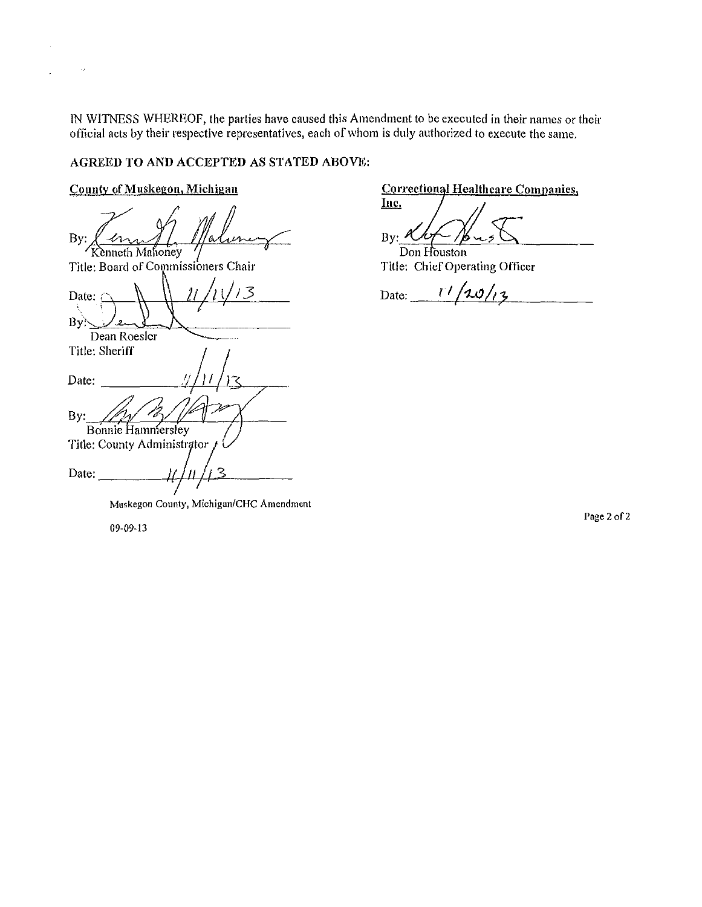IN WITNESS WHEREOF, the parties have caused this Amendment to be executed in their names or their official acts by their respective representatives, each of whom is duly authorized to execute the same.

## AGREED TO AND ACCEPTED AS STATED ABOVE:

## County of Muskegon, Michigan

By:<br>By: <u>Commissioner</u><br>Fitle: Board of Commissioners Chair Date:<br>By:  $\frac{11}{11}$ Dean Roesler Title: Sheriff Date: By: Bonnie Hammersley Title: County Administrator 2 Date:

**Correctional Healthcare Companies,** 

Inc. By:  $\frac{\mathcal{X} \mathcal{U} \leftarrow \mathcal{Y}}{\text{Don Houston}}$ 

Title: Chief Operating Officer

Date:  $\frac{r}{\sqrt{20/r}}$ **r** 

**Muskegon County. Michigan/CHC Amendment** 

09-09~13

Page 2 of 2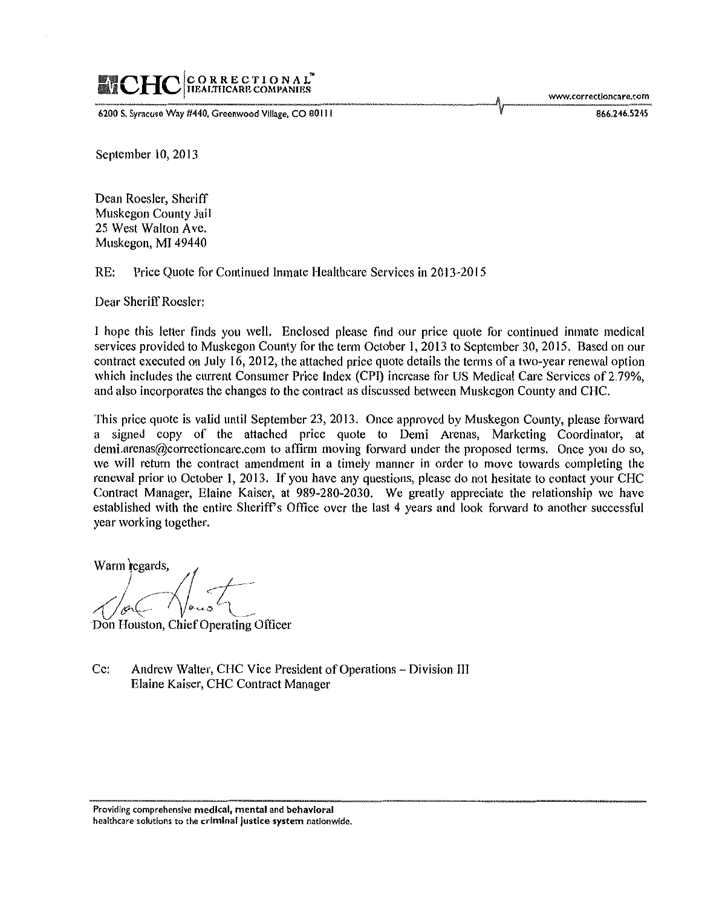# C O R R E C T I O N A L<sup>\*\*</sup><br>IIEAI.THCARE COMPANIES

6200 S. Syracuse Way #440, Greenwood Village, CO 80111  $\blacksquare$  866.246.5245

September 10, 2013

Dean Roesler, Sheriff Muskegon County Jail 25 West Walton Ave. Muskegon, MI 49440

RE: Price Quote for Continued Inmate Health care Services in 2013-2015

Dear Sheriff Roesler:

I hope this letter finds you well. Enclosed please find our price quote for continued inmate medical services provided to Muskegon County for the term October I, 2013 to September 30,2015. Based on our contract executed on July 16, 2012, the attached price quote details the terms of a two-year renewal option which includes the current Consumer Price Index (CPI) increase for US Medical Care Services of 2.79%, and also incorporates the changes to the contract as discussed between Muskegon County and CHC.

This price quote is valid until September 23,2013. Once approved by Muskegon County, please forward a signed copy of the attached price quote to Demi Arenas, Marketing Coordinator, at demi.arenas@correctioncare.com to affirm moving forward under the proposed terms. Once you do so, we will return the contract amendment in a timely manner in order to move towards completing the renewal prior to October 1, 2013. If you have any questions, please do not hesitate to contact your CHC Contract Manager, Elaine Kaiser, at 989-280-2030. We greatly appreciate the relationship we have established with the entire Sheriff's Office over the last 4 years and look forward to another successful year working together.

Warm  $\begin{array}{c} \hbox{legards,} \ \hbox{therefore} \ \hbox{areom} \ \hbox{areom} \ \hbox{areom} \ \hbox{areom} \ \hbox{areom} \ \hbox{areom} \ \hbox{areom} \ \hbox{areom} \ \hbox{areom} \ \hbox{areom} \ \hbox{areom} \ \hbox{areom} \ \hbox{areom} \ \hbox{areom} \ \hbox{areom} \ \hbox{areom} \ \hbox{areom} \ \hbox{areom} \ \hbox{areom} \ \hbox{areom} \ \hbox{areom} \ \hbox{areom} \ \hbox{areom} \ \hbox{areom$ ---  $\sqrt{C\sqrt{2\pi\epsilon}}$ 

Don Houston, Chief Operating Officer

Cc: Andrew Walter, CHC Vice President of Operations- Division III Elaine Kaiser, CHC Contract Manager

**Providing comprehensive medical. mental and behavioral healthcare solutions to the criminal justice system nationwide.**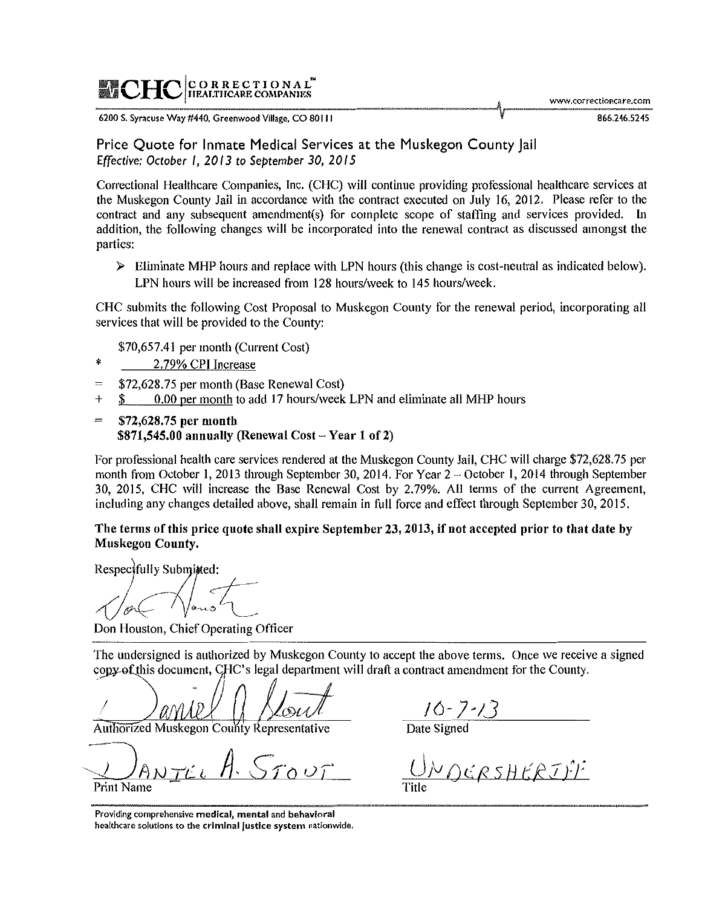# $\blacksquare$ CHC CORRECTIONAL<sup>®</sup>

www.correctioncare.com

**6200 S. Syracuse Way #440, Greenwood Village, CO 80 Ill** 

Price Quote for Inmate Medical Services at the Muskegon County Jail *Effective: October I, 2013 to September 30, 20 IS* 

Correctional Healthcare Companies, Inc. (CHC) will continue providing professional healthcare services at the Muskegon County Jail in accordance with the contract executed on July 16, 2012. Please refer to the contract and any subsequent amendment(s) for complete scope of staffing and services provided. In addition, the following changes will be incorporated into the renewal contract as discussed amongst the parties:

 $\triangleright$  Eliminate MHP hours and replace with LPN hours (this change is cost-neutral as indicated below). LPN hours will be increased from 128 hours/week to 145 hours/week.

CHC submits the following Cost Proposal to Muskegon County for the renewal period, incorporating all services that will be provided to the County:

- \$70,657.41 per month (Current Cost)
- 2.79% CPT Increase
- \$72,628.75 per month (Base Renewal Cost)  $=$
- + \$ 0.00 per month to add 17 hours/week LPN and eliminate all MHP hours
- = \$72,628.75 per month  $$871,545.00$  annually (Renewal Cost - Year 1 of 2)

For professional health care services rendered at the Muskegon County Jail, CHC will charge \$72,628.75 per month from October 1, 2013 through September 30, 2014. For Year 2 – October 1, 2014 through September 30, 2015, CHC will increase the Base Renewal Cost by 2.79%. All terms of the current Agreement, including any changes detailed above, shall remain in full force and effect through September 30, 2015.

The terms of this price quote shall expire September 23, 2013, if not accepted prior to that date by Muskegon County.

Respectfully Submitted:

 $\epsilon$  to  $\epsilon$  $\sqrt{2\pi\sqrt{2\pi}}$ 

Don Houston, Chief Operating Officer

The undersigned is authorized by Muskegon County to accept the above terms. Once we receive a signed copy of this document, CHC's legal department will draft a contract amendment for the County.

I

**Authorized Muskegon County Representative** 

 $T \cap \cup T$ Print Name

 $\frac{10-7.13}{\text{Date Signal}}$ 

'l'o */R\_ •.* '--- ;v ( f! *S* H *t:.* J *If*  Title

**Providing comprehensive medical, mental and behavioral healthcare solutions to the criminal Justice system nationwide.**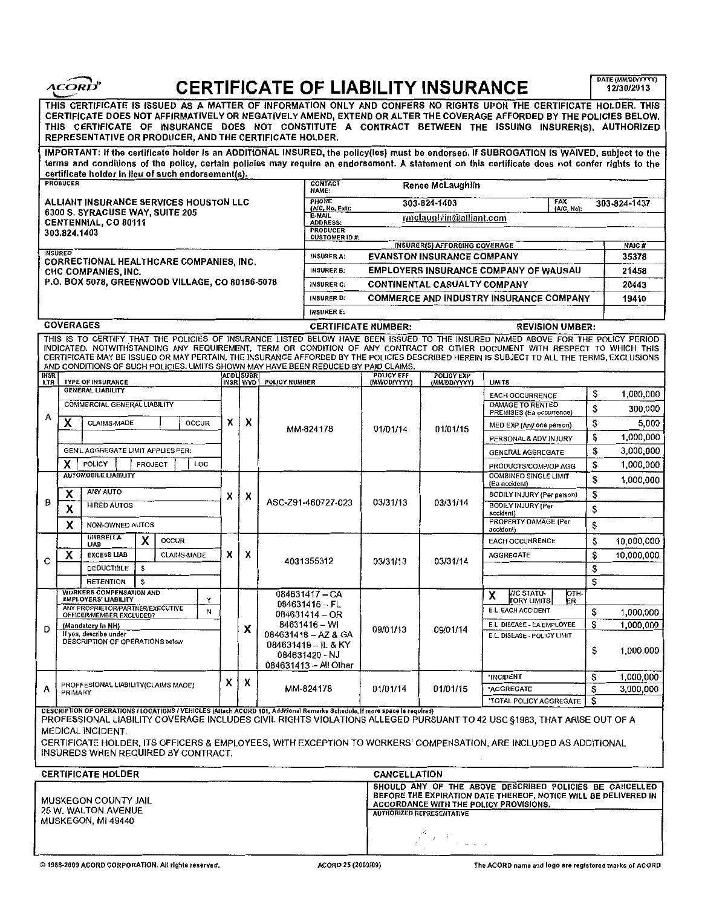|                                                                                                                                                                                                                                                                                                                                                                                                                  | <i><b>ACORD</b></i>                                                                                                                                                                                                                                                                                                                                                                                                                            |   |                              |                                                                                          |                                                                                                                                  |                                                                                                                                                                                                          | <b>CERTIFICATE OF LIABILITY INSURANCE</b>      |                                                            |           | DATE (MM/DD/YYYY)<br>12/30/2013 |  |
|------------------------------------------------------------------------------------------------------------------------------------------------------------------------------------------------------------------------------------------------------------------------------------------------------------------------------------------------------------------------------------------------------------------|------------------------------------------------------------------------------------------------------------------------------------------------------------------------------------------------------------------------------------------------------------------------------------------------------------------------------------------------------------------------------------------------------------------------------------------------|---|------------------------------|------------------------------------------------------------------------------------------|----------------------------------------------------------------------------------------------------------------------------------|----------------------------------------------------------------------------------------------------------------------------------------------------------------------------------------------------------|------------------------------------------------|------------------------------------------------------------|-----------|---------------------------------|--|
| THIS CERTIFICATE IS ISSUED AS A MATTER OF INFORMATION ONLY AND CONFERS NO RIGHTS UPON THE CERTIFICATE HOLDER. THIS<br>CERTIFICATE DOES NOT AFFIRMATIVELY OR NEGATIVELY AMEND, EXTEND OR ALTER THE COVERAGE AFFORDED BY THE POLICIES BELOW.<br>THIS CERTIFICATE OF INSURANCE DOES NOT CONSTITUTE A CONTRACT BETWEEN THE ISSUING INSURER(S), AUTHORIZED<br>REPRESENTATIVE OR PRODUCER, AND THE CERTIFICATE HOLDER. |                                                                                                                                                                                                                                                                                                                                                                                                                                                |   |                              |                                                                                          |                                                                                                                                  |                                                                                                                                                                                                          |                                                |                                                            |           |                                 |  |
|                                                                                                                                                                                                                                                                                                                                                                                                                  | IMPORTANT: If the certificate holder is an ADDITIONAL INSURED, the policy(ies) must be endorsed. If SUBROGATION IS WAIVED, subject to the<br>terms and conditions of the policy, certain policies may require an endorsement. A statement on this certificate does not confer rights to the                                                                                                                                                    |   |                              |                                                                                          |                                                                                                                                  |                                                                                                                                                                                                          |                                                |                                                            |           |                                 |  |
| certificate holder in lieu of such endorsement(s).<br><b>CONTACT</b><br><b>PRODUCER</b><br>Renee McLaughlin                                                                                                                                                                                                                                                                                                      |                                                                                                                                                                                                                                                                                                                                                                                                                                                |   |                              |                                                                                          |                                                                                                                                  |                                                                                                                                                                                                          |                                                |                                                            |           |                                 |  |
|                                                                                                                                                                                                                                                                                                                                                                                                                  |                                                                                                                                                                                                                                                                                                                                                                                                                                                |   |                              |                                                                                          | NAME:<br><b>PHONE</b><br><b>FAX</b>                                                                                              |                                                                                                                                                                                                          |                                                |                                                            |           |                                 |  |
| <b>ALLIANT INSURANCE SERVICES HOUSTON LLC</b><br>6300 S. SYRACUSE WAY, SUITE 205<br>CENTENNIAL, CO 80111<br>303.824.1403                                                                                                                                                                                                                                                                                         |                                                                                                                                                                                                                                                                                                                                                                                                                                                |   |                              |                                                                                          | (A/C, No, Ext):                                                                                                                  |                                                                                                                                                                                                          | 303-824-1403                                   | (A/C, No):                                                 |           | 303-824-1437                    |  |
|                                                                                                                                                                                                                                                                                                                                                                                                                  |                                                                                                                                                                                                                                                                                                                                                                                                                                                |   |                              |                                                                                          | <b>E-MAIL</b><br>rmclaughlin@alliant.com<br><b>ADDRESS:</b>                                                                      |                                                                                                                                                                                                          |                                                |                                                            |           |                                 |  |
|                                                                                                                                                                                                                                                                                                                                                                                                                  |                                                                                                                                                                                                                                                                                                                                                                                                                                                |   |                              |                                                                                          | <b>PRODUCER</b><br><b>CUSTOMER ID#:</b>                                                                                          |                                                                                                                                                                                                          |                                                |                                                            |           |                                 |  |
| <b>INSURED</b>                                                                                                                                                                                                                                                                                                                                                                                                   |                                                                                                                                                                                                                                                                                                                                                                                                                                                |   |                              |                                                                                          | <b>INSURER(S) AFFORDING COVERAGE</b><br><b>INSURER A:</b><br><b>EVANSTON INSURANCE COMPANY</b>                                   |                                                                                                                                                                                                          |                                                |                                                            |           | NAIC#<br>35378                  |  |
| <b>CORRECTIONAL HEALTHCARE COMPANIES, INC.</b>                                                                                                                                                                                                                                                                                                                                                                   |                                                                                                                                                                                                                                                                                                                                                                                                                                                |   |                              |                                                                                          | <b>EMPLOYERS INSURANCE COMPANY OF WAUSAU</b><br>INSURER B:                                                                       |                                                                                                                                                                                                          |                                                |                                                            |           | 21458                           |  |
| CHC COMPANIES, INC.<br>P.O. BOX 5078, GREENWOOD VILLAGE, CO 80156-5078                                                                                                                                                                                                                                                                                                                                           |                                                                                                                                                                                                                                                                                                                                                                                                                                                |   |                              |                                                                                          | <b>INSURER C:</b><br><b>CONTINENTAL CASUALTY COMPANY</b>                                                                         |                                                                                                                                                                                                          |                                                |                                                            |           | 20443                           |  |
|                                                                                                                                                                                                                                                                                                                                                                                                                  |                                                                                                                                                                                                                                                                                                                                                                                                                                                |   |                              |                                                                                          | <b>INSURER D:</b>                                                                                                                |                                                                                                                                                                                                          | <b>COMMERCE AND INDUSTRY INSURANCE COMPANY</b> |                                                            |           | 19410                           |  |
|                                                                                                                                                                                                                                                                                                                                                                                                                  |                                                                                                                                                                                                                                                                                                                                                                                                                                                |   |                              |                                                                                          | <b>INSURER E:</b>                                                                                                                |                                                                                                                                                                                                          |                                                |                                                            |           |                                 |  |
| <b>COVERAGES</b><br><b>REVISION UMBER:</b><br><b>CERTIFICATE NUMBER:</b>                                                                                                                                                                                                                                                                                                                                         |                                                                                                                                                                                                                                                                                                                                                                                                                                                |   |                              |                                                                                          |                                                                                                                                  |                                                                                                                                                                                                          |                                                |                                                            |           |                                 |  |
|                                                                                                                                                                                                                                                                                                                                                                                                                  |                                                                                                                                                                                                                                                                                                                                                                                                                                                |   |                              |                                                                                          | THIS IS TO CERTIFY THAT THE POLICIES OF INSURANCE LISTED BELOW HAVE BEEN ISSUED TO THE INSURED NAMED ABOVE FOR THE POLICY PERIOD |                                                                                                                                                                                                          |                                                |                                                            |           |                                 |  |
| INDICATED. NOTWITHSTANDING ANY REQUIREMENT, TERM OR CONDITION OF ANY CONTRACT OR OTHER DOCUMENT WITH RESPECT TO WHICH THIS<br>CERTIFICATE MAY BE ISSUED OR MAY PERTAIN, THE INSURANCE AFFORDED BY THE POLICIES DESCRIBED HEREIN IS SUBJECT TO ALL THE TERMS, EXCLUSIONS<br>AND CONDITIONS OF SUCH POLICIES. LIMITS SHOWN MAY HAVE BEEN REDUCED BY PAID CLAIMS.                                                   |                                                                                                                                                                                                                                                                                                                                                                                                                                                |   |                              |                                                                                          |                                                                                                                                  |                                                                                                                                                                                                          |                                                |                                                            |           |                                 |  |
| <b>INSR</b><br><b>LTR</b>                                                                                                                                                                                                                                                                                                                                                                                        | <b>TYPE OF INSURANCE</b>                                                                                                                                                                                                                                                                                                                                                                                                                       |   | <b>ADDL SUBR</b><br>INSR WVD | <b>POLICY NUMBER</b>                                                                     |                                                                                                                                  | <b>POLICY EFF</b><br>(MMOD/YYYY)                                                                                                                                                                         | <b>POLICY EXP</b><br>(MM/DD/YYYY)              | <b>LIMITS</b>                                              |           |                                 |  |
| A                                                                                                                                                                                                                                                                                                                                                                                                                | <b>GENERAL LIABILITY</b>                                                                                                                                                                                                                                                                                                                                                                                                                       |   |                              |                                                                                          |                                                                                                                                  |                                                                                                                                                                                                          |                                                | <b>EACH OCCURRENCE</b>                                     | \$        | 1,000,000                       |  |
|                                                                                                                                                                                                                                                                                                                                                                                                                  | <b>COMMERCIAL GENERAL LIABILITY</b>                                                                                                                                                                                                                                                                                                                                                                                                            |   | X                            |                                                                                          |                                                                                                                                  |                                                                                                                                                                                                          |                                                | <b>DAMAGE TO RENTED</b><br>PREMISES (Ea occurrence)        | \$        | 300,000                         |  |
|                                                                                                                                                                                                                                                                                                                                                                                                                  | X<br><b>OCCUR</b><br><b>CLAIMS-MADE</b>                                                                                                                                                                                                                                                                                                                                                                                                        | х |                              | MM-824178                                                                                |                                                                                                                                  | 01/01/14                                                                                                                                                                                                 | 01/01/15                                       | MED EXP (Any one person)                                   | \$        | 5,000                           |  |
|                                                                                                                                                                                                                                                                                                                                                                                                                  | GEN'L AGGREGATE LIMIT APPLIES PER:<br>X<br><b>PROJECT</b><br>LOC<br><b>POLICY</b>                                                                                                                                                                                                                                                                                                                                                              |   |                              |                                                                                          |                                                                                                                                  |                                                                                                                                                                                                          |                                                | PERSONAL & ADV INJURY                                      | S         | 1,000,000                       |  |
|                                                                                                                                                                                                                                                                                                                                                                                                                  |                                                                                                                                                                                                                                                                                                                                                                                                                                                |   |                              |                                                                                          |                                                                                                                                  |                                                                                                                                                                                                          |                                                | <b>GENERAL AGGREGATE</b>                                   | \$        | 3,000,000                       |  |
|                                                                                                                                                                                                                                                                                                                                                                                                                  |                                                                                                                                                                                                                                                                                                                                                                                                                                                |   |                              |                                                                                          |                                                                                                                                  |                                                                                                                                                                                                          |                                                | PRODUCTS/COMP/OP AGG                                       | \$        | 1,000,000                       |  |
|                                                                                                                                                                                                                                                                                                                                                                                                                  | <b>AUTOMOBILE LIABILITY</b>                                                                                                                                                                                                                                                                                                                                                                                                                    |   |                              |                                                                                          | ASC-Z91-460727-023                                                                                                               | 03/31/13                                                                                                                                                                                                 | 03/31/14                                       | <b>COMBINED SINGLE LIMIT</b><br>(Ea accident)              | S         | 1,000,000                       |  |
|                                                                                                                                                                                                                                                                                                                                                                                                                  | <b>ANY AUTO</b><br>x                                                                                                                                                                                                                                                                                                                                                                                                                           | X | х                            |                                                                                          |                                                                                                                                  |                                                                                                                                                                                                          |                                                | <b>BODILY INJURY (Per person)</b>                          | s         |                                 |  |
| В                                                                                                                                                                                                                                                                                                                                                                                                                | <b>HIRED AUTOS</b><br>X                                                                                                                                                                                                                                                                                                                                                                                                                        |   |                              |                                                                                          |                                                                                                                                  |                                                                                                                                                                                                          |                                                | <b>BODILY INJURY (Per</b><br>accident)                     | \$        |                                 |  |
|                                                                                                                                                                                                                                                                                                                                                                                                                  | X<br><b>NON-OWNED AUTOS</b>                                                                                                                                                                                                                                                                                                                                                                                                                    |   |                              |                                                                                          |                                                                                                                                  |                                                                                                                                                                                                          |                                                | <b>PROPERTY DAMAGE (Per</b><br>accident)                   | \$        |                                 |  |
|                                                                                                                                                                                                                                                                                                                                                                                                                  | <b>UMBRELLA</b><br>X<br><b>OCCUR</b><br><b>LIAB</b>                                                                                                                                                                                                                                                                                                                                                                                            |   |                              |                                                                                          | 4031355312                                                                                                                       | 03/31/13                                                                                                                                                                                                 | 03/31/14                                       | <b>EACH OCCURRENCE</b>                                     | \$        | 10,000,000                      |  |
|                                                                                                                                                                                                                                                                                                                                                                                                                  | X<br><b>EXCESS LIAB</b><br><b>CLAIMS-MADE</b>                                                                                                                                                                                                                                                                                                                                                                                                  | X | X                            |                                                                                          |                                                                                                                                  |                                                                                                                                                                                                          |                                                | <b>AGGREGATE</b>                                           | \$        | 10,000,000                      |  |
| C                                                                                                                                                                                                                                                                                                                                                                                                                | <b>DEDUCTIBLE</b><br>s                                                                                                                                                                                                                                                                                                                                                                                                                         |   |                              |                                                                                          |                                                                                                                                  |                                                                                                                                                                                                          |                                                |                                                            | \$        |                                 |  |
|                                                                                                                                                                                                                                                                                                                                                                                                                  | Ŝ<br><b>RETENTION</b>                                                                                                                                                                                                                                                                                                                                                                                                                          |   |                              |                                                                                          |                                                                                                                                  |                                                                                                                                                                                                          |                                                |                                                            | \$        |                                 |  |
|                                                                                                                                                                                                                                                                                                                                                                                                                  | <b>WORKERS COMPENSATION AND</b><br><b>EMPLOYERS' LIABILITY</b><br>Υ                                                                                                                                                                                                                                                                                                                                                                            |   |                              | 084631417 - CA                                                                           |                                                                                                                                  |                                                                                                                                                                                                          |                                                | <b>WC STATU-</b><br>-HTO.<br>х<br>ER<br><b>TORY LIMITS</b> |           |                                 |  |
|                                                                                                                                                                                                                                                                                                                                                                                                                  | ANY PROPRIETOR/PARTNER/EXECUTIVE<br>N<br>OFFICER/MEMBER EXCLUDED?                                                                                                                                                                                                                                                                                                                                                                              |   |                              | $084631415 - FL$<br>084631414 - OR                                                       |                                                                                                                                  | 09/01/13                                                                                                                                                                                                 | 09/01/14                                       | E.L. EACH ACCIDENT                                         | \$        | 1,000,000                       |  |
| D                                                                                                                                                                                                                                                                                                                                                                                                                | (Mandatory in NH)                                                                                                                                                                                                                                                                                                                                                                                                                              |   | X                            | 84631416 - WI                                                                            | E.L. DISEASE - EA EMPLOYEE                                                                                                       |                                                                                                                                                                                                          |                                                | S                                                          | 1.000.000 |                                 |  |
|                                                                                                                                                                                                                                                                                                                                                                                                                  | If yes, describe under<br>DESCRIPTION OF OPERATIONS below                                                                                                                                                                                                                                                                                                                                                                                      |   |                              | 084631418 - AZ & GA<br>$084631419 - I L R$ KY<br>084631420 - NJ<br>084631413 - All Olher |                                                                                                                                  |                                                                                                                                                                                                          |                                                | E.L. DISEASE - POLICY LIMIT                                | \$        | 1,000,000                       |  |
|                                                                                                                                                                                                                                                                                                                                                                                                                  |                                                                                                                                                                                                                                                                                                                                                                                                                                                |   |                              |                                                                                          |                                                                                                                                  |                                                                                                                                                                                                          |                                                | *INCIDENT                                                  | \$        | 1,000,000                       |  |
| A                                                                                                                                                                                                                                                                                                                                                                                                                | PROFFESIONAL LIABILITY(CLAIMS MADE)<br>PRIMARY                                                                                                                                                                                                                                                                                                                                                                                                 | x | х                            |                                                                                          | MM-824178                                                                                                                        | 01/01/14                                                                                                                                                                                                 | 01/01/15                                       | *AGGREGATE                                                 | \$        | 3,000,000                       |  |
|                                                                                                                                                                                                                                                                                                                                                                                                                  |                                                                                                                                                                                                                                                                                                                                                                                                                                                |   |                              |                                                                                          |                                                                                                                                  |                                                                                                                                                                                                          |                                                | <b>'TOTAL POLICY AGGREGATE</b>                             | S         |                                 |  |
|                                                                                                                                                                                                                                                                                                                                                                                                                  | DESCRIPTION OF OPERATIONS / LOCATIONS / VEHICLES (Allach ACORD 101, Additional Remarks Schedule, If more space is required)<br>PROFESSIONAL LIABILITY COVERAGE INCLUDES CIVIL RIGHTS VIOLATIONS ALLEGED PURSUANT TO 42 USC \$1983, THAT ARISE OUT OF A<br><b>MEDICAL INCIDENT.</b><br>CERTIFICATE HOLDER, ITS OFFICERS & EMPLOYEES, WITH EXCEPTION TO WORKERS' COMPENSATION, ARE INCLUDED AS ADDITIONAL<br>INSUREDS WHEN REQUIRED BY CONTRACT. |   |                              |                                                                                          |                                                                                                                                  |                                                                                                                                                                                                          |                                                |                                                            |           |                                 |  |
|                                                                                                                                                                                                                                                                                                                                                                                                                  | <b>CERTIFICATE HOLDER</b>                                                                                                                                                                                                                                                                                                                                                                                                                      |   |                              |                                                                                          |                                                                                                                                  | CANCELLATION                                                                                                                                                                                             |                                                |                                                            |           |                                 |  |
| MUSKEGON COUNTY JAIL<br><b>25 W. WALTON AVENUE</b><br>MUSKEGON, MI 49440                                                                                                                                                                                                                                                                                                                                         |                                                                                                                                                                                                                                                                                                                                                                                                                                                |   |                              |                                                                                          |                                                                                                                                  | SHOULD ANY OF THE ABOVE DESCRIBED POLICIES BE CANCELLED<br>BEFORE THE EXPIRATION DATE THEREOF, NOTICE WILL BE DELIVERED IN<br>ACCORDANCE WITH THE POLICY PROVISIONS.<br><b>AUTHORIZED REPRESENTATIVE</b> |                                                |                                                            |           |                                 |  |
|                                                                                                                                                                                                                                                                                                                                                                                                                  |                                                                                                                                                                                                                                                                                                                                                                                                                                                |   |                              |                                                                                          |                                                                                                                                  |                                                                                                                                                                                                          | $\mathcal{L} \times \mathbb{C}_{\geq 2\pi}$ .  |                                                            |           |                                 |  |

DATE (MM/DD/YYYY)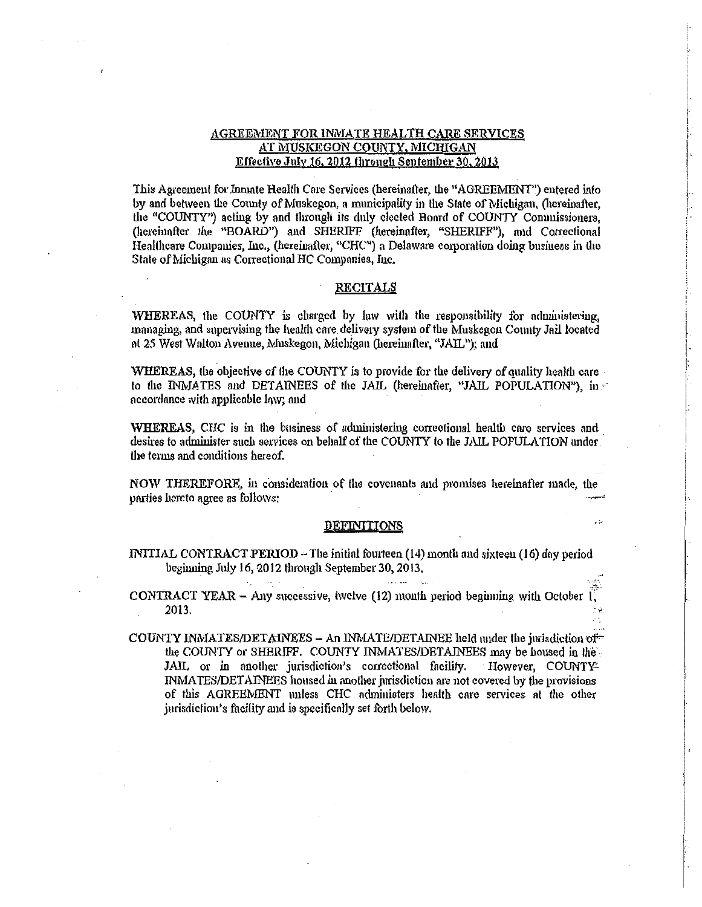## **AGREEMENT FOR INMATE HEALTH CARE SERVICES** AT MUSKEGON COUNTY, MICHIGAN Effective July 16, 2012 through September 30, 2013

This Agreement for Innate Health Care Services (hereinafter, the "AGREEMENT") entered into by and between the County of Muskegon, a municipality in the State of Michigan, (hereinafter, the "COUNTY") acting by and through its duly elected Board of COUNTY Commissioners. (hereinafter the "BOARD") and SHERIFF (hereinafter, "SHERIFF"), and Correctional Healthcare Companies, Inc., (hereinafter, "CHC") a Delaware corporation doing business in the State of Michigan as Correctional HC Companies, Inc.

#### **RECITALS**

WHEREAS, the COUNTY is charged by law with the responsibility for administering, managing, and supervising the health care delivery system of the Muskegon County Jail located at 25 West Walton Avenue, Muskegon, Michigan (hereinafter, "JAIL"); and

WHEREAS, the objective of the COUNTY is to provide for the delivery of quality health care. to the INMATES and DETAINEES of the JAIL (hereinafter, "JAIL POPULATION"), in accordance with applicable law; and

WHEREAS, CHC is in the business of administering correctional health care services and desires to administer such services on behalf of the COUNTY to the JAIL POPULATION under the terms and conditions hereof.

NOW THEREFORE, in consideration of the covenants and promises hereinafter made, the parties hereto agree as follows:

#### **DEFINITIONS**

i S

INITIAL CONTRACT PERIOD - The initial fourteen (14) month and sixteen (16) day period beginning July 16, 2012 through September 30, 2013.

CONTRACT YEAR - Any successive, twelve  $(12)$  month period beginning with October I, 2013.

COUNTY INMATES/DETAINEES - An INMATE/DETAINEE held under the jurisdiction of the COUNTY or SHERIFF. COUNTY INMATES/DETAINEES may be housed in the JAIL or in another jurisdiction's correctional facility. However, COUNTY-INMATES/DETAINEES housed in another jurisdiction are not covered by the provisions of this AGREEMENT unless CHC administers health care services at the other jurisdiction's facility and is specifically set forth below.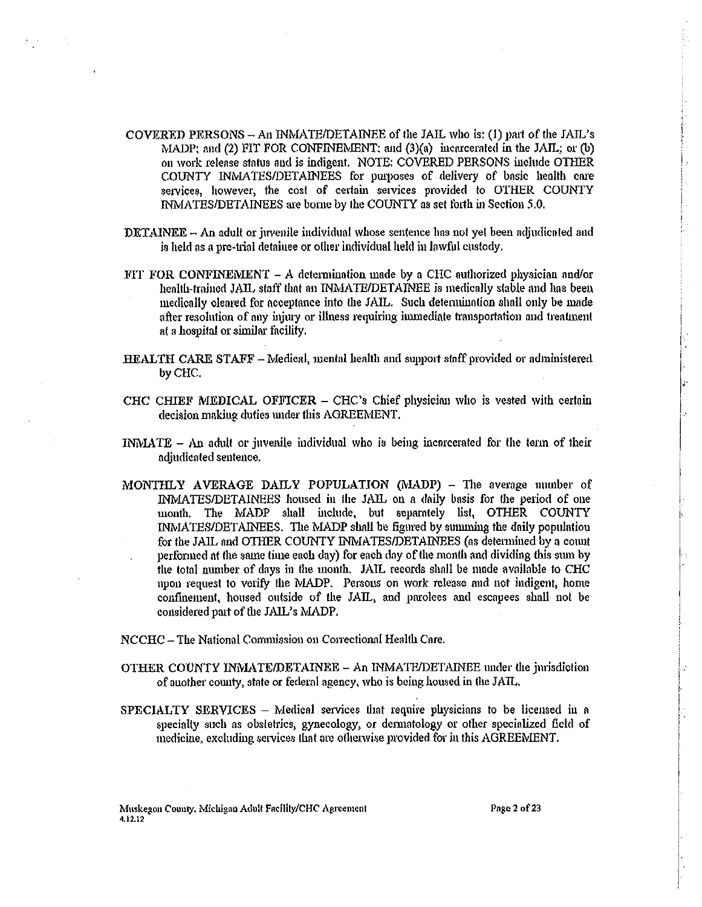- COVERED PERSONS An INMATE/DETAINEE of the JAIL who is: (1) part of the JAIL's MADP: and (2) FIT FOR CONFINEMENT: and (3)(a) incarcerated in the JAIL: or (b) on work release status and is indigent. NOTE: COVERED PERSONS include OTHER COUNTY INMATES/DETAINEES for purposes of delivery of basic health care services, however, the cost of certain services provided to OTHER COUNTY INMATES/DETAINEES are borne by the COUNTY as set forth in Section 5.0.
- $\text{DTTAINEE} \text{An adult or juvenile individual whose sentence has not yet been adjusted and}$ is held as a pre-trial detainee or other individual held in lawful custody,
- FIT FOR CONFINEMENT A determination made by a CHC authorized physician and/or health-trained JAIL staff that an INMATE/DETAINEE is medically stable and has been medically cleared for acceptance into the JAIL. Such determination shall only be made after resolution of any injury or illness requiring immediate transportation and treatment at a hospital or similar facility.
- HEALTH CARE STAFF Medical, mental health and support staff provided or administered by CHC.
- CHC CHIEF MEDICAL OFFICER CHC's Chief physician who is vested with certain decision making duties under this AGREEMENT.
- INMATE An adult or juvenile individual who is being incorcerated for the term of their adiudicated sentence.
- MONTHLY AVERAGE DAILY POPULATION (MADP) The average number of INMATES/DETAINEES housed in the JAIL on a daily basis for the period of one month. The MADP shall include, but separately list, OTHER COUNTY INMATES/DETAINEES. The MADP shall be figured by summing the daily population for the JAIL and OTHER COUNTY INMATES/DETAINEES (as determined by a count performed at the same time each day) for each day of the month and dividing this sum by the total number of days in the month. JAIL records shall be made available to CHC upon request to verify the MADP. Persons on work release and not indigent, home confinement, housed outside of the JAIL, and parolees and escapees shall not be considered part of the JAIL's MADP.

NCCHC - The National Commission on Correctional Health Care,

- OTHER COUNTY INMATE/DETAINEE An INMATE/DETAINEE under the jurisdiction of auother county, state or federal agency, who is being housed in the JAIL.
- SPECIALTY SERVICES Medical services that require physicians to be licensed in a specially such as obstetries, gynecology, or dermatology or other specialized field of medicine, excluding services that are otherwise provided for in this AGREEMENT.

Muskegon Coonty. Michigan Adult Facility/CHC Agreement 4.12.12

Page 2 of 23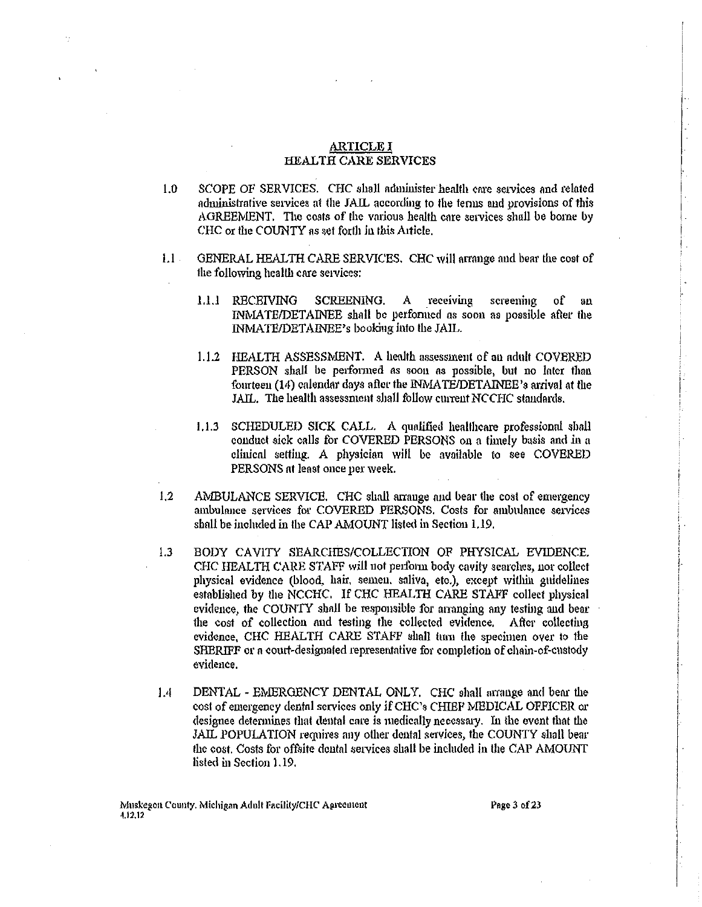#### ARTICLE I HEALTH CARE SERVICES

- 1.0 SCOPE OF SERVICES. CHC shall administer health care services and related administrative services at the JAIL according to the terms and provisions of this AGREEMENT. The costs of the various health care services shall be borne by CHC or the COUNTY as set forth in this Alticle.
- 1.1 . GENERAL HEALTH CARE SERVICES. CHC will arrange and bear the cost of the following health care setvices:
	- 1.1.1 RECEIVING SCREENING. A receiving screening of an lNMA TE/DETAINEE shall be perfonned as soon as possible after the INMATE/DETAINEE's booking into the JAIL.
	- 1.1.2 HEALTH ASSESSMENT. A health assessment of an adult COVERED PERSON shall be performed as soon as possible, but no later than fourteen (14) calendar days after the INMATE/DETAINEE's arrival at the JAIL. The health assessment shall follow current NCCHC standards.
	- I. 1.3 SCHEDULED SICK CALL. A qualified heallhcare professional shall conduct sick calls for COVERED PERSONS on a timely basis and in a clinical setting. A physician will be available to see COVERED PERSONS nt least once per week.
- 1.2 AMBULANCE SERVICE. CHC shall arrange and bear the cost of emergency ambulance services for COVERED PERSONS. Costs for ambulance setvices shall he included in the CAP AMOUNT listed in Section 1.19.
- 1.3 BODY CAVITY SEARCHES/COLLECTION OF PHYSICAL EVIDENCE. CHC HEALTH CARE STAFF will not perform body cavity searches, nor collect physical evidence (blood, hair. semen. saliva, etc.), except wiUlin guidelines established by the NCCHC. If CHC HEALTH CARE STAFF collect physical evidence, the COUNTY shall be responsible for arranging any testing and bear the cost of collection and testing the collected evidence. After collecting evidence, CHC HEALTH CARE STAFF shall tum the specimen over to the SHERIFF or *a* court-designated representative for completion of chain-of-custody evidence.
- 1.4 DENTAL EMERGENCY DENTAL ONLY. CHC shall arrange and bear the cost of emergency dental services only if CHC's CHIEF MEDICAL OFFICER or designee detennines that dental care is medically necessary. In the event that the JAIL POPULATION requires any other dental services, the COUNTY shall bear the cost. Costs for offsite dental services shall be included in the CAP AMOUNT listed in Section 1.19.

Page 3 of 23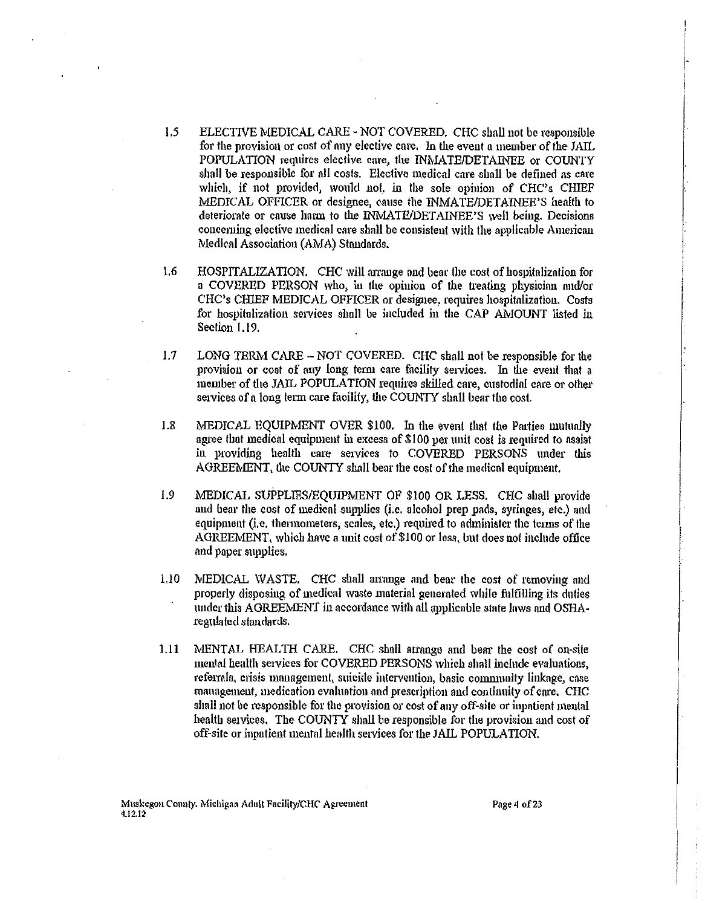- 1.5 ELECTIVE MEDICAL CARE - NOT COVERED. CHC shall not be responsible for the provision or cost of any elective care. In the event a member of the JAIL POPULATION requires elective care, the INMATE/DETAINEE or COUNTY shall be responsible for all costs. Elective medical care shall be defined as care which, if not provided, would not, in the sole opinion of CHC's CHIEF MEDICAL OFFICER or designee, cause the INMATE/DETAINEE'S health to deteriorate or cause harm to the INMATE/DETAINEE'S well being. Decisions concerning elective medical care shall be consistent with the applicable American Medical Association (AMA) Standards.
- 1.6 HOSPITALIZATION. CHC will arrange and bear the cost of hospitalization for a COVERED PERSON who, in the opinion of the treating physician and/or CHC's CHIEF MEDICAL OFFICER or designee, requires hospitalization. Costs for hospitalization services shall be included in the CAP AMOUNT listed in Section 1.19.
- LONG TERM CARE NOT COVERED. CHC shall not be responsible for the  $1.7$ provision or cost of any long term care facility services. In the event that a member of the JAIL POPULATION requires skilled care, custodial care or other services of a long term care facility, the COUNTY shall bear the cost.
- MEDICAL EQUIPMENT OVER \$100. In the event that the Parties mutually  $1.8$ agree that medical equipment in excess of \$100 per unit cost is required to assist in providing health care services to COVERED PERSONS under this AGREEMENT, the COUNTY shall bear the cost of the medical equipment,
- 1.9 MEDICAL SUPPLIES/EOUIPMENT OF \$100 OR LESS. CHC shall provide and bear the cost of medical supplies (i.e. alcohol prep pads, syringes, etc.) and equipment (i.e. thermometers, scales, etc.) required to administer the terms of the AGREEMENT, which have a unit cost of \$100 or less, but does not include office and paper supplies.
- $1.10$ MEDICAL WASTE. CHC shall arrange and bear the cost of removing and properly disposing of medical waste material generated while fulfilling its duties under this AGREEMENT in accordance with all applicable state laws and OSHAregulated standards.
- $1.11$ MENTAL HEALTH CARE. CHC shall arrange and bear the cost of on-site mental health services for COVERED PERSONS which shall include evaluations, referrals, crisis management, suicide intervention, basic community linkage, case management, medication evaluation and prescription and continuity of care. CHC shall not be responsible for the provision or cost of any off-site or inpatient mental health services. The COUNTY shall be responsible for the provision and cost of off-site or inpatient mental health services for the JAIL POPULATION.

Page 4 of 23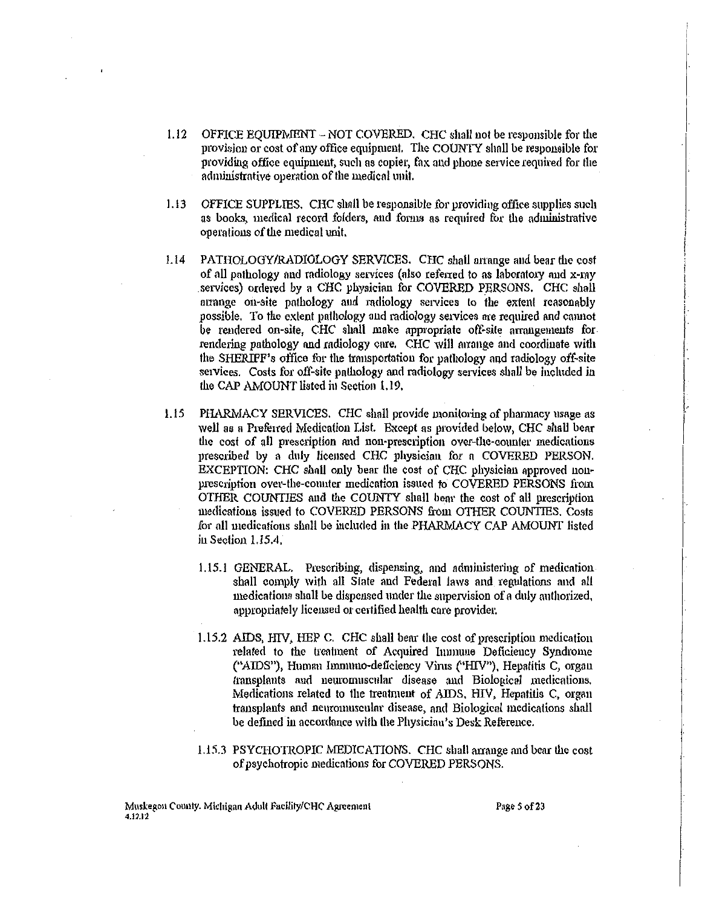- 1.12 OFFICE EQUIPMENT NOT COVERED. CHC shall not be responsible for the provision or cost of any office equipment. The COUNTY shall be responeible for providing office equipment, such as copier, fox and phone service required for the administrative operation of the medical unit.
- 1.13 OFFICE SUPPLIES. CHC shall be responsible for providing office supplies such as books, medical record folders, and forms as required for the administrative operations of the medical unit.
- Ll4 PATHOLOGY/RADIOLOGY SERVICES. CHC shall arrange and bear the cost of all pathology and radiology services (also referred to as laboratory and x-ray services) ordered by a CHC physician for COVERED PERSONS. CHC shall ntrange on-site pathology and radiology services to the extent reasonably possible. To the extent pathology and radiology services are required and cannot be rendered on-site, CHC shall make appropriate off-site arrangements for rendering pathology and radiology care. CHC will arrange and coordinate with the SHERIFF's office for the transportation for pathology and radiology off-site services. Costs for off-site pathology and radiology services shall be included in the CAP AMOUNT listed in Section 1.19.
- 1.15 PHARMACY SERVICES. CHC shall provide monitoring of pharmacy usage as well as a Preferred Medication List. Except as provided below, CHC shall bear the cost of all prescription and non-prescription over-the-counter medications prescribed by a duly licensed CHC physician for a COVERED PERSON. EXCEPTION: CHC shall only bear the cost of CHC physician approved nonprescription over-the-counter medication issued to COVERED PERSONS from OTHER COUNTIES aud the COUNTY shall bem· the cost of aU prescription medications issued to COVERED PERSONS from OTHER COUNTIES. Costs for all medications shall be included in the PHARMACY CAP AMOUNT listed in Section 1.15.4.
	- 1.15.! GENERAL. Prescribing, dispensing, and administering of medication shall comply with all Slate and Federal laws and regulations and all medications shall be dispensed under the supervision of a duly authorized, appropriately licensed or certified health care provider.
	- 1.15.2 AIDS, HIV, HEP C. CHC shall bear the cost of prescription medication related to the treatment of Acquired Inunune Deficiency Syndrome ("AIDS"), Human Immuno-deficiency Virus ("HIV"), Hepatitis C, organ transplants and neuromuscular disease and Biological medications. Medications related to the treatment of AIDS. HlV, Hepatitis C, organ transplants and neuromuscular disease, and Biological medications shall be defined in accordance with the Physicinn's Desk Reference.
	- 1.15.3 PSYCHOTROPIC MEDICATIONS. CHC shall arrange and bear the cost of psychotropic medications for COVERED PERSONS.

[·  $\int$  $\left| \cdot \right|$ 

 $\left| \begin{matrix} \cdot & \cdot \end{matrix} \right|$ li<br>F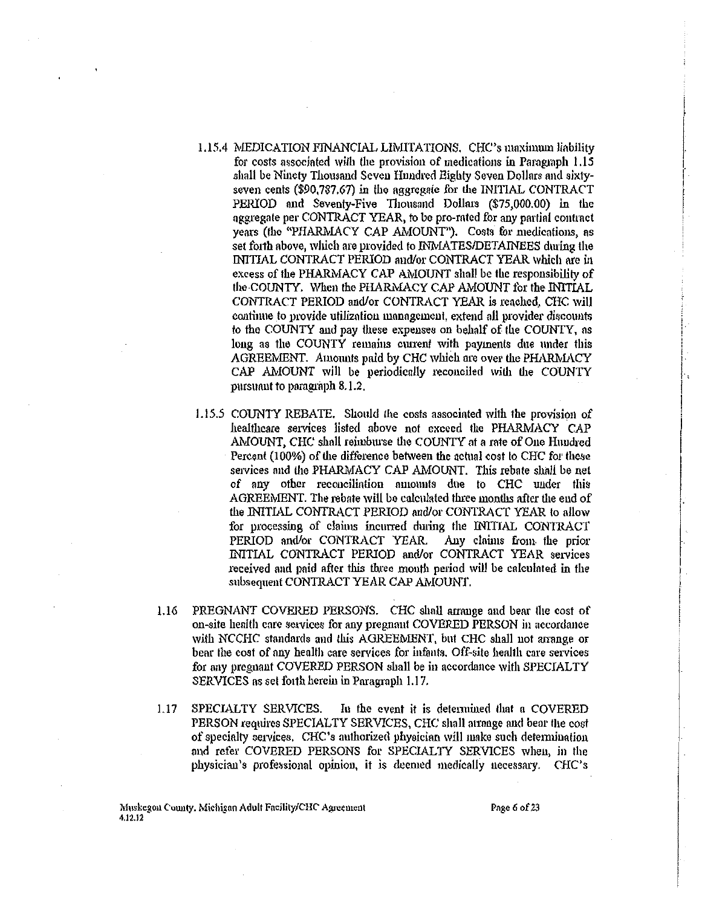- 1.15.4 MEDICATION FINANCIAL LIMITATIONS, CHC's maximum liability for costs associated with the provision of medications in Paragraph 1.15 shall be Ninety Thousand Seven Hundred Eighty Seven Dollars and sixtyseven cents (\$90,787.67) in the aggregate for the INITIAL CONTRACT PERIOD and Seventy-Five Thousand Dollars (\$75,000.00) in the aggregate per CONTRACT YEAR, to be pro-rated for any partial contract years (the "PHARMACY CAP AMOUNT"). Costs for medications, as set forth above, which are provided to INMATES/DETAINEES during the INITIAL CONTRACT PERIOD and/or CONTRACT YEAR which are in excess of the PHARMACY CAP AMOUNT shall be the responsibility of the COUNTY. When the PHARMACY CAP AMOUNT for the INITIAL CONTRACT PERIOD and/or CONTRACT YEAR is reached. CHC will continue to provide utilization management, extend all provider discounts to the COUNTY and pay these expenses on behalf of the COUNTY, as long as the COUNTY remains current with payments due under this AGREEMENT. Amounts paid by CHC which are over the PHARMACY CAP AMOUNT will be periodically reconciled with the COUNTY pursuant to paragraph 8.1.2.
- 1.15.5 COUNTY REBATE. Should the costs associated with the provision of healthcare services listed above not exceed the PHARMACY CAP AMOUNT, CHC shall reimburse the COUNTY at a rate of One Hundred Percent (100%) of the difference between the actual cost to CHC for these services and the PHARMACY CAP AMOUNT. This rebate shall be net of any other reconciliation amounts due to CHC under this AGREEMENT. The rebate will be calculated three months after the end of the INITIAL CONTRACT PERIOD and/or CONTRACT YEAR to allow for processing of claims incurred during the INITIAL CONTRACT PERIOD and/or CONTRACT YEAR. Any claims from the prior INITIAL CONTRACT PERIOD and/or CONTRACT YEAR services received and paid after this three month period will be calculated in the subsequent CONTRACT YEAR CAP AMOUNT.
- 1.16 PREGNANT COVERED PERSONS. CHC shall arrange and bear the cost of on-site health care services for any pregnant COVERED PERSON in accordance with NCCHC standards and this AGREEMENT, but CHC shall not arrange or bear the cost of any health care services for infants. Off-site health care services for any pregnant COVERED PERSON shall be in accordance with SPECIALTY SERVICES as set forth herein in Paragraph 1.17.
- $1.17$ SPECIALTY SERVICES. In the event it is determined that a COVERED PERSON requires SPECIALTY SERVICES, CHC shall arrange and bear the cost of specialty services. CHC's authorized physician will make such determination and refer COVERED PERSONS for SPECIALTY SERVICES when, in the physician's professional opinion, it is deemed medically necessary. CHC's

Muskegon County. Michigan Adult Facility/CHC Agreement 4.12.12

Page 6 of 23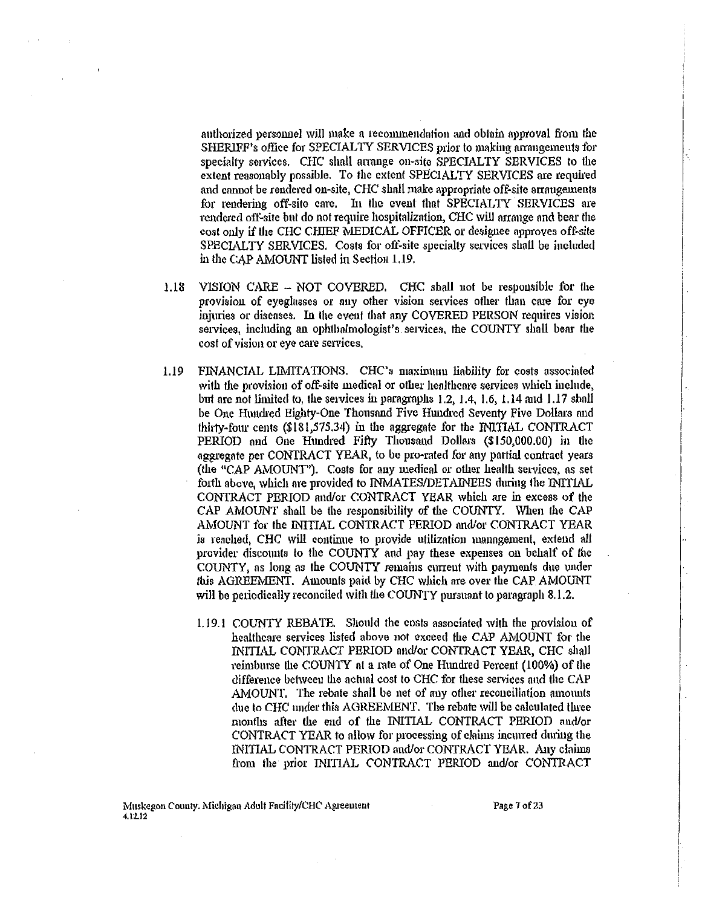authorized personnel will make a recommendation and obtain approval from the SHERIFF's office for SPECIALTY SERVICES prior to making arrangements for specialty services. CHC shall arrange on-site SPECIALTY SERVICES to the extent reasonably possible. To the extent SPECIALTY SERVICES are required and cannot be rendered on-site, CHC shall make appropriate off·site arrangements for rendering off-site care. In the event that SPECIALTY SERVICES are rendered oft~site but do not require hospitolizntion, CHC will arrange and bear the cost only if the CHC CHIEF MEDICAL OFFICER or designee approves off-site SPECIALTY SERVICES. Costs for off-site specialty services shall be included in the CAP AMOUNT listed in Section 1.19.

- 1.18 VISION CARE NOT COVERED. CHC shall not be respousible for the provision of eyeglasses or auy other vision services other than care for eye injuries or diseases. In the event that any COVERED PERSON requires vision services, including an ophthalmologist's services, the COUNTY shall bear the cost of vision or eye care services.
- 1.19 FINANCIAL LIMITATIONS. CHC's maximum liability for costs associated with the provision of off-site medical or other healthcare services which include, but are not limited to, the services in paragraphs 1.2, 1.4, 1.6, 1.14 and 1.17 shall be One Hundred Eighty-One Thousand Five Hundred Seventy Five Dollars and thirty-four cents (\$181,575.34) in the aggregate for the INITIAL CONTRACT PERIOD and One Hundred Fifty Thousand Dollars (\$150,000.00) in the aggregate per CONTRACT YEAR, to be pro-rated for any pattial contract years (the "CAP AMOUNT'). Costs for any medical or other health services, as set forth above, which are provided to INMATES/DETAINEES during the INITIAL CONTRACT PERIOD and/or CONTRACT YEAR which are in excess of the CAP AMOUNT shall be the responsibility of the COUNTY. When the CAP AMOUNT for the INITIAL CONTRACT PERIOD and/or CONTRACT YEAR is reached, CHC will continue to provide utilization management, extend all provider discomlts to the COUNTY nnd pay these expenses on behalf of the COUNTY, as long as the COUNTY remains current with payments due under this AGREEMENT. Amounts paid by CHC which are over the CAP AMOUNT will be periodically reconciled with the COUNTY pursuant to paragraph 8.1.2.
	- l.l9.1 COUNTY REBATE. Should the costs associated with the provision of healthcare services listed above not exceed the CAP AMOUNT for the INITIAL CONTRACT PERIOD and/or CONTRACT YEAR, CHC shall l'eimburse the COUNTY at a rate of One Hundred Percent (100%) of the difference between the actual cost to CHC tor these services and the CAP AMOUNT. The rebate shall be net of any other reconciliation amounts due to CHC under this AGREEMENT. The rebate will be calculated three months after the end of the INITIAL CONTRACT PERIOD and/or CONTRACT YEAR to allow for processing of claims incurred during the INITIAL CONTRACT PERIOD and/or CONTRACT YEAR. Any claims from the prior INITIAL CONTRACT PERIOD and/or CONTRACT

Page 7 of 23

 $\mathfrak{f}$ 

I

I  $\left| \cdot \right|$ '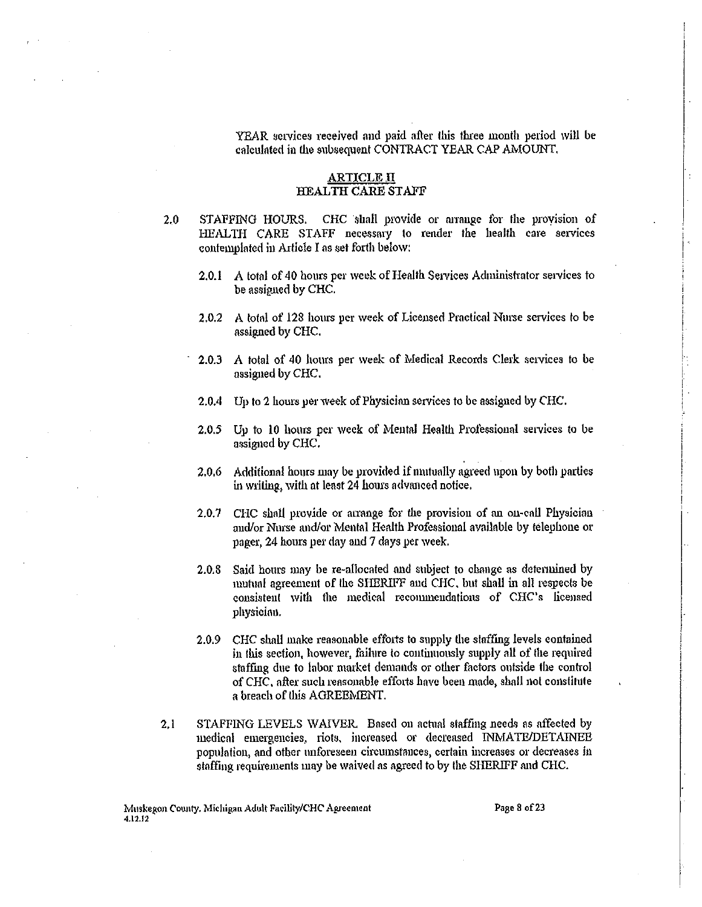YEAR services received and paid after this three month period will be calculated in the subsequent CONTRACT YEAR CAP AMOUNT.

## ARTICLE IT HEALTH CARE STAFF

- 2.0 STAFFING HOURS. CHC shall provide or arrange for the provision of HEALTH CARE STAFF necessary to render the health care services contemplated in Article I as set forth below:
	- 2.0.1 A total of 40 hours per week of Health Services Administrator services to be assigned by CHC.
	- 2.0.2 A total of 128 hours per week of Licensed Practical Nurse services to be assigned by CHC.
	- · 2.0.3 A total of 40 hours per week of Medical Records Clerk services to be assigned by CHC.
	- 2.0.4 Up to 2 hours per week of Physician services to be assigned by CHC.
	- 2.0.5 Up to 10 hours per week of Mental Health Prolessioual services to be assigned by CHC.
	- 2.0.6 Additional hours may be provided if mutually agreed upon by both parties in writing, with at least 24 hours advanced notice.
	- $2.0.7$  CHC shall provide or arrange for the provision of an on-call Physician and/or Nurse and/or Mental Health Professional available by telephone or pager, 24 hours per day and 7 days per week.
	- 2.0.8 Said hours may be re-allocated and subject to change as determined by mutual agreement of the SHERIFF and CHC, but shall in all respects be consistent with the medical recommendations of CHC's licensed physician.
	- 2.0.9 CHC shall make reasonable efforts to supply the staffing levels contained in this section, however, failure to continuously supply all of the required staffing due to labor market demands or other factors outside the control of CHC, after such reasonable effotis have been made, shall not constitute a breach of this AGREEMENT.
- 2.1 STAFFING LEVELS WAIVER. Based on actual staffing needs as affected by medical emergencies, riots, increased or decreased INMATE/DETAINEE population, and other unforeseen circumstances, certain increases or decreases in staffing requirements may be waived as agreed to by the SHERIFF and CHC.

Page 8 of 23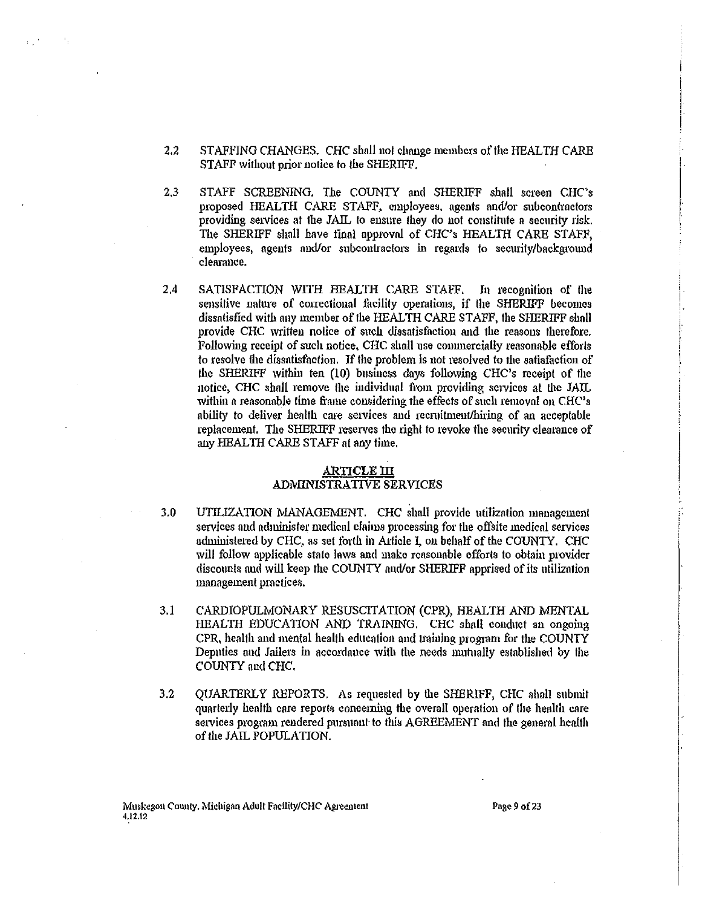- $2.2$ STAFFING CHANGES. CHC shall not change members of the HEALTH CARE STAFF without prior notice to the SHERIFF.
- STAFF SCREENING. The COUNTY and SHERIFF shall screen CHC's  $2.3$ proposed HEALTH CARE STAFF, employees, agents and/or subcontractors providing services at the JAIL to ensure they do not constitute a security risk. The SHERIFF shall have final approval of CHC's HEALTH CARE STAFF, emolovees, agents and/or subcontractors in regards to security/background clearance.
- 2,4 SATISFACTION WITH HEALTH CARE STAFF. In recognition of the sensitive nature of correctional facility operations, if the SHERIFF becomes dissatisfied with any member of the HEALTH CARE STAFF, the SHERIFF shall provide CHC written notice of such dissatisfaction and the reasons therefore. Following receipt of such notice, CHC shall use commercially reasonable efforts to resolve the dissatisfaction. If the problem is not resolved to the satisfaction of the SHERIFF within ten (10) business days following CHC's receipt of the notice, CHC shall remove the individual from providing services at the JAIL within a reasonable time frame considering the effects of such removal on CHC's ability to deliver health care services and recruitment/hiring of an acceptable replacement. The SHERIFF reserves the right to revoke the security clearance of any HEALTH CARE STAFF at any time,

# <u>ARTICLE III</u>

# ADMINISTRATIVE SERVICES

- $3.0$
- UTILIZATION MANAGEMENT. CHC shall provide utilization management services and administer medical claims processing for the offsite medical services administered by CHC, as set forth in Article I, on behalf of the COUNTY. CHC will follow applicable state laws and make reasonable efforts to obtain provider discounts and will keep the COUNTY and/or SHERIFF apprised of its utilization management practices.
- $3.1$ CARDIOPULMONARY RESUSCITATION (CPR), HEALTH AND MENTAL HEALTH EDUCATION AND TRAINING. CHC shall conduct an ongoing CPR, health and mental health education and training program for the COUNTY Deputies and Jailers in accordance with the needs mutually established by the COUNTY and CHC.
- QUARTERLY REPORTS. As requested by the SHERIFF, CHC shall submit  $3.2$ quarterly health care reports concerning the overall operation of the health care services program rendered pursuant to this AGREEMENT and the general health of the JAIL POPULATION.

Page 9 of 23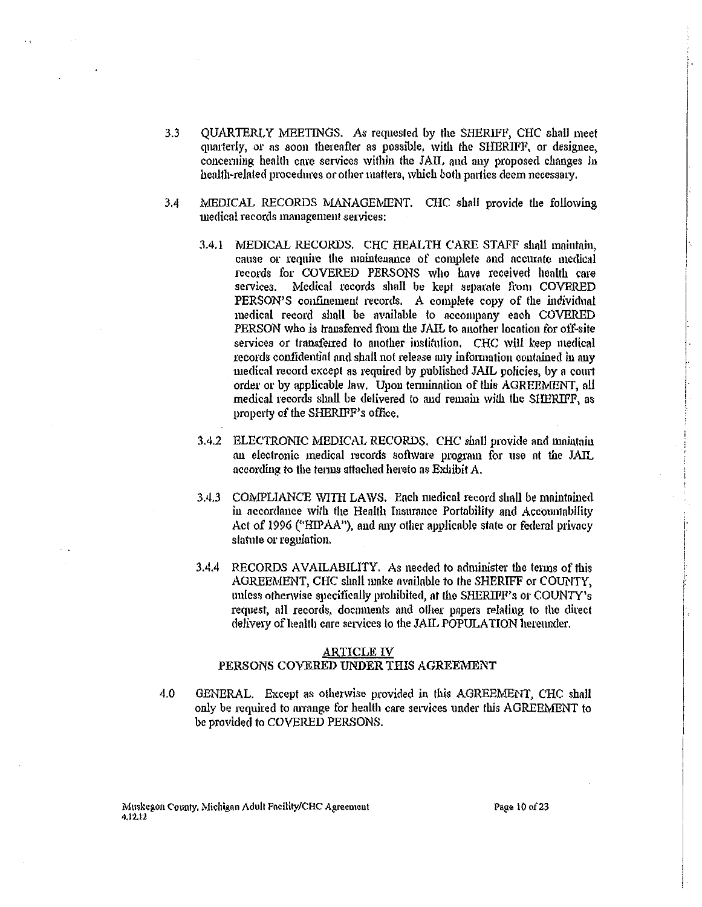- $3.3$ OUARTERLY MEETINGS. As requested by the SHERIFF, CHC shall meet quarterly, or as soon thereafter as possible, with the SHERIFF, or designee, concerning health care services within the JAIL and any proposed changes in health-related procedures or other matters, which both parties deem necessary.
- $3.4$ MEDICAL RECORDS MANAGEMENT. CHC shall provide the following medical records management services:
	- 3.4.1 MEDICAL RECORDS. CHC HEALTH CARE STAFF shall maintain, cause or require the maintenance of complete and accurate medical records for COVERED PERSONS who have received health care services. Medical records shall be kept separate from COVERED PERSON'S confinement records. A complete copy of the individual medical record shall be available to accompany each COVERED PERSON who is transferred from the JAIL to another location for off-site services or transferred to another institution. CHC will keep medical records confidential and shall not release any information contained in any medical record except as required by published JAIL policies, by a court order or by applicable law. Upon termination of this AGREEMENT, all medical records shall be delivered to and remain with the SHERIFF, as property of the SHERIFF's office.
	- 3.4.2 ELECTRONIC MEDICAL RECORDS. CHC shall provide and maintain an electronic medical records software program for use at the JAIL according to the terms attached hereto as Exhibit A.
	- 3.4.3 COMPLIANCE WITH LAWS. Each medical record shall be maintained in accordance with the Health Insurance Portability and Accountability Act of 1996 ("HIPAA"), and any other applicable state or federal privacy statute or regulation.
	- RECORDS AVAILABILITY. As needed to administer the terms of this  $3,4,4$ AGREEMENT, CHC shall make available to the SHERIFF or COUNTY, unless otherwise specifically prohibited, at the SHERIFF's or COUNTY's request, all records, documents and other papers relating to the direct delivery of health care services to the JAIL POPULATION hereunder.

#### **ARTICLE IV**

## PERSONS COVERED UNDER THIS AGREEMENT

4.0 GENERAL. Except as otherwise provided in this AGREEMENT, CHC shall only be required to arrange for health care services under this AGREEMENT to be provided to COVERED PERSONS.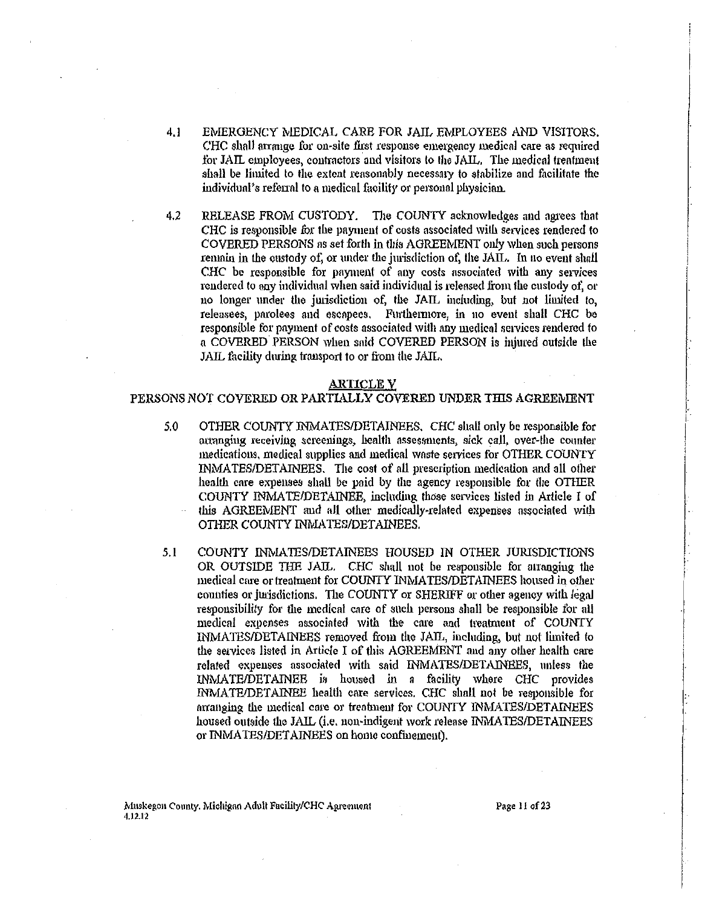- EMERGENCY MEDICAL CARE FOR JAIL EMPLOYEES AND VISITORS.  $4.1$ CHC shall arrange for on-site first response emergency medical care as required for JAIL employees, contractors and visitors to the JAIL. The medical treatment shall be limited to the extent reasonably necessary to stabilize and facilitate the individual's referral to a medical facility or personal physician.
- $4.2$ RELEASE FROM CUSTODY. The COUNTY acknowledges and agrees that CHC is responsible for the payment of costs associated with services rendered to COVERED PERSONS as set forth in this AGREEMENT only when such persons remain in the custody of, or under the jurisdiction of, the JAIL. In no event shall CHC be responsible for payment of any costs associated with any services rendered to any individual when said individual is released from the custody of, or no longer under the jurisdiction of, the JAIL including, but not limited to, releasees, parolees and escapees. Furthermore, in no event shall CHC be responsible for payment of costs associated with any medical services rendered to a COVERED PERSON when said COVERED PERSON is miured outside the JAIL facility during transport to or from the JAIL.

#### **ARTICLE V**

#### PERSONS NOT COVERED OR PARTIALLY COVERED UNDER THIS AGREEMENT

- OTHER COUNTY INMATES/DETAINEES. CHC shall only be responsible for 5.0 arranging receiving screenings, health assessments, sick call, over-the counter medications, medical supplies and medical waste services for OTHER COUNTY INMATES/DETAINEES. The cost of all prescription medication and all other health care expenses shall be paid by the agency responsible for the OTHER COUNTY INMATE/DETAINEE, including those services listed in Article I of this AGREEMENT and all other medically-related expenses associated with OTHER COUNTY INMATES/DETAINEES.
- COUNTY INMATES/DETAINEES HOUSED IN OTHER JURISDICTIONS  $5.1$ OR OUTSIDE THE JAIL. CHC shall not be responsible for arranging the medical care or treatment for COUNTY INMATES/DETAINEES housed in other counties or jurisdictions. The COUNTY or SHERIFF or other agency with legal responsibility for the medical care of such persons shall be responsible for all medical expenses associated with the care and treatment of COUNTY INMATES/DETAINEES removed from the JAIL, including, but not limited to the services listed in Article I of this AGREEMENT and any other health care related expenses associated with said INMATES/DETAINEES, unless the INMATE/DETAINEE is housed in a facility where CHC provides INMATE/DETAINEE health care services. CHC shall not be responsible for arranging the medical care or treatment for COUNTY INMATES/DETAINEES housed outside the JAIL (i.e. non-indigent work release INMATES/DETAINEES or INMATES/DETAINEES on home confinement).

Muskegon County. Michigan Adult Facility/CHC Agreement 4.12.12

Page 11 of 23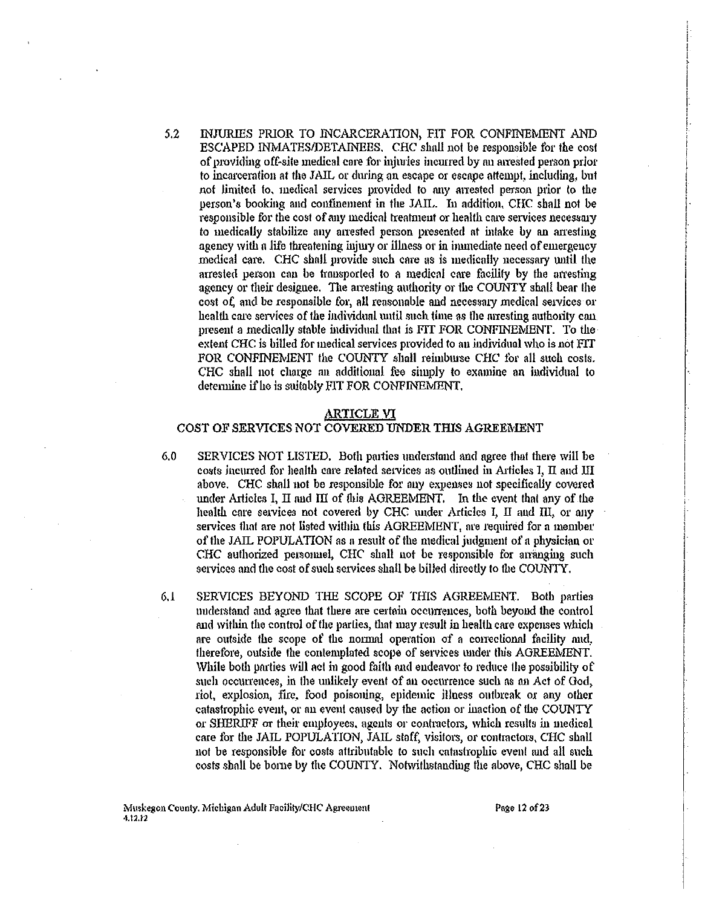5.2 INJURIES PRIOR TO INCARCERATION, FIT FOR CONFINEMENT AND ESCAPED INMATES/DETAINEES. CHC shall not be responsible for the cost of providing off-site medical care for injuries incurred by an arrested person prior to incarceration at the JAIL or dming on escape or escape attempt, including, but not limited to, medical services provided to any arrested person prior to the person's booking and confinement in the JAIL. In addition, CHC shall not be responsible for the cost of any medical treatment or health care services necessary *to* medically stabilize any anested person presented at intake by an amsting agency with n life threatening injwy or illness or in immediate need of emergeucy medical care. CHC shall provide such care as is medically necessary wrtil the arrested person can be transported to a medical care facility by the arresting agency or their designee. The arresting authority or the COUNTY shall bear the cost of, and be responsible for, all reasonable and necessary medical services or health care services of the individual until such time as the arresting authority can present a medically stable individual that is FIT FOR CONFINEMENT. To the extent CHC is billed for medical services provided to an individual who is not FIT FOR CONFINEMENT the COUNTY shall reimburse CHC for all such costs. CHC shall not charge an additional fee simply to examine an iudividual to determine if he is suitably FIT FOR CONFINEMENT.

#### ARTICLE VI

#### COST OF SERVICES NOT COVERED UNDER THIS AGREEMENT

- 6.0 SERVICES NOT USTED. Both patties understand and agree that there will be costs incurred for health care related services as outlined in Articles I, II and III above. CHC shall not be responsible for any expenses not specifically covered under Articles I, II and III of this AGREEMENT. In the event that any of the health care services not covered by CHC under Articles I, II and III, or any services that are not listed within this AGREEMENT, are required for a member of the JAIL POPULATION as a result of the medical judgment of a physician or CHC authorized personnel, CHC shall not be responsible for arranging such services and the cost of such services shall be billed directly to the COUNTY.
- 6.1 SERVICES BEYOND THE SCOPE OF TillS AGREEMENT. Both parties understand and agree that there are certain occurrences, both beyond the control and within the control of the parties, that may result in health care expenses which are outside the scope of the normal operation of a correctional facility and, therefore, outside the contemplated scope of services under this AGREEMENT. While both parties will act in good faith and endeavor to reduce the possibility of such occurrences, in the unlikely event of an occurrence such as an Act of God, riot, explosion, fire, food poisoning, epidemic illness outbreak or any other catastrophic event, or au event caused by the action or inaction of the COUNTY or SHERIFF or their employees, agents or contructors, which results iu medical care for the JAIL POPULATION, JAIL staff, visitors, or contractors, CHC shall not be responsible for costs attributable to such catastrophic event and all such costs shall be bome by the COUNTY. Notwithstanding the above, CHC shall be

Page 12 of 23

i I I

I I

 $\begin{array}{c} \begin{array}{c} \begin{array}{c} \begin{array}{c} \end{array} \end{array} \end{array} \end{array} \end{array}$ 

 $\vert$ . I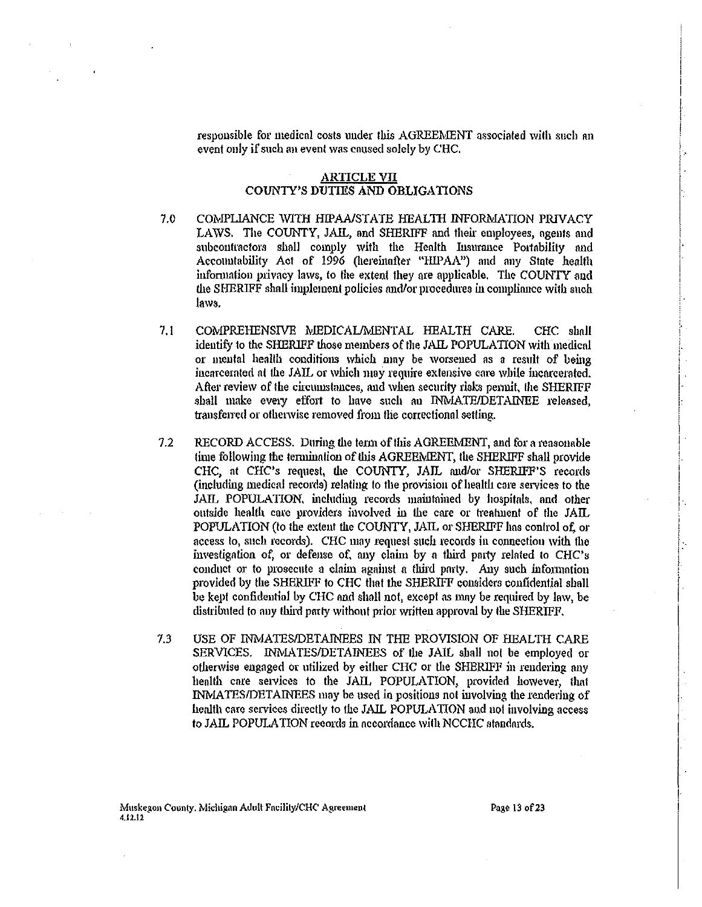responsible for medical costs under this AGREEMENT associated with such an event only if such au event was caused solely by CHC.

i ! |<br>|<br>| l I

I I· i.

; ! .

 $\vert \cdot \vert$ I I

i I i i\_ ! '

i  $\vert \cdot$ ļ. '

## **ARTICLE VII** COUNTY'S DUTIES AND OBLIGATIONS

- 7.0 COMPLIANCE WITH HIPAA/STATE HEALTH INFORMATION PRIVACY LAWS. The COUNTY, JAIL, and SHERIFF and their employees, agents and subcontractors shall comply with the Health Insurance Portability and Accountability Act of 1996 (hereinafter "HlPAA") and any State health infonnation privacy laws, to the extent they are applicable. The COUNTY and the SHERIFF shall implement policies and/or procedures in compliance with such Jaws.
- 7.1 COMPREHENSIVE MEDICAL/MENTAL HEALTH CARE. CHC shall identify to the SHERIFF those members of the JAIL POPULATION with medical or mental health conditions which may be worsened as a result of being incarcerated at the JAIL or which may require extensive care while incarcerated. After review of the circumstances, and when security risks pennit, the SHERIFF shall make every effort to have such an INMATE/DETAINEE released, transferred or othenvise removed from the correctional setting.
- 7.2 RECORD ACCESS. During the term of this AGREEMENT, and for a reasonable time following the termination of this AGREEMENT, the SHERIFF shall provide CHC, nt CHC's request, the COUNfY, JAIL audlor SHERIFF'S records (including medical records) relatiug to the provision of health core services to the JAIL POPULATION, including records maintained by hospitals, and other outside health care providers involved in the care or treatment of the JAIL POPULATION (to the extent the COUNTY, JAIL or SHERIFF has control of or access to, such records). CHC may request such records in connection with the investigation of, or defense of, any claim by a third party related to CHC's conduct or to prosecute a claim against a third party. Any such information provided by the SHERIFF to CHC that the SHERIFF considers confidential shall be kept confideutial by CHC and shall not, eXcept as mny be reqnired by law, be distributed to any third party without prior written approval by the SHERIFF.
- 7.3 USE OF INMATES/DETAINEES IN THE PROVISION OF HEALTH CARE SERVICES. INMATES/DETAINEES of the JAIL shall not be employed or otherwise engaged or utilized by either CHC or the SHERIFF in rendering any health core services to the JAIL POPULATION, provided however, thnt INMATES/DETAINEES may be used in positions not involving the rendering of health care services directly to the JAIL POPULATION nud not involving access to JAIL POPULATION records in nccordnnce with NCCHC standards.

Page 13 of 23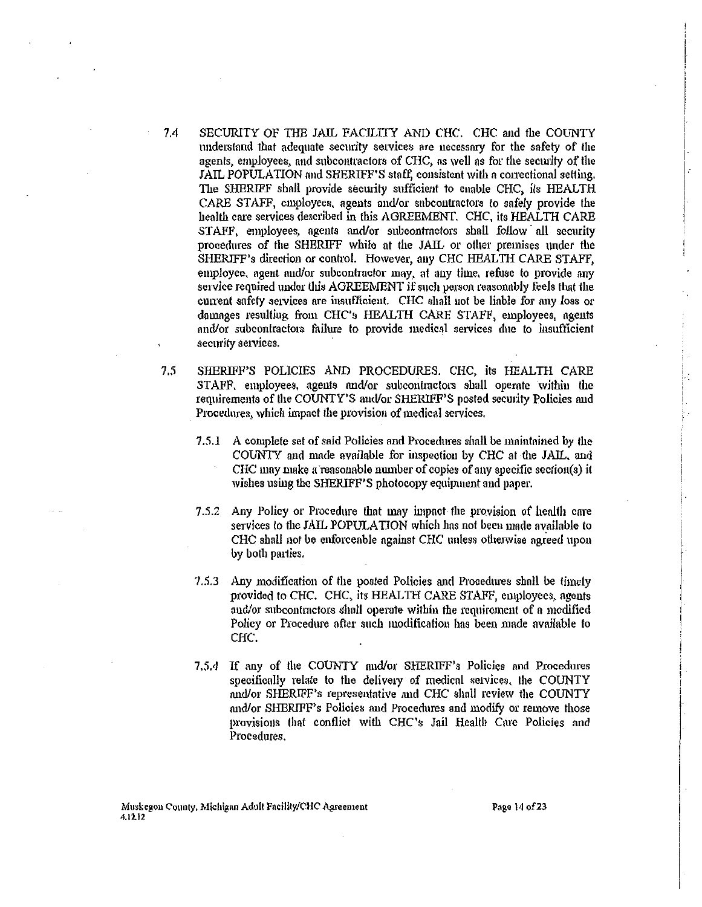- 7.4 SECURITY OF TilE JAJL *FACILITY* AND CHC. CHC and the COUNTY understand that adequate security services are necessary for the safety of the agents, employees, and subcontractors of CHC, as well as for the security of the JAIL POPULATION and SHERIFF'S staff, consistent with a correctional setting. The SHERIFF shall provide security sufficient to enable CHC, its HEALTH CARE STAFF, employees. agents and/or subcontractors to safely provide the health care services described in this AGREEMENT. CHC, its HEALTH CARE STAFF, employees, agents and/or subcontractors shall follow all security procedures of the SHERIFF while at the JAIL or other premises under the SHERIFF's direction or control. However, any CHC HEALTH CARE STAFF, employee, agent and/or subcontractor may, at any time, refuse to provide any service required under this AGREEMENT if such person reasonably feels that the current safety services are insufficient. CHC shall not be liable for any loss or dmnages resulting from CHC's HEALTH CARE STAFF, employees, agents and/or subcontractors failure to provide medical services due to insufficient security services.
- *1.5* SHERIFF'S POLICIES AND PROCEDURES. CHC, its HEALTH CARE STAFF, employees, agents and/or subcontractors shall operate within the requirements of the COUNTY'S and/or SHERIFF'S posted security Policies and Procedures, which impact lhe provision of medical services.
	- 7.5.1 A complete set of said Policies and Procedures shall be maintained by the COUNTY and made available for inspection by CHC at the JAIL, and CHC may make a reasonable number of copies of any specific section(s) it wishes using the SHERIFF'S photocopy equipment and paper.
	- 7.5.2 Any Policy or Procedure that may impact the provision of health care services to the JAIL POPULATION which has not been made available to CHC shall not be enforceable against CHC unless otherwise agreed upon by both parties.
	- 7.5.3 Any modification of the posted Policies and Procedures shall be timely provided to CHC. CHC, its HEALTH CARE STAFF, employees, agents and/or subcontractors shall operate within the requirement of a modified Policy or Procedure after such modification has been made available to CHC.
	- 7.5.4 If any of the COUNTY and/or SHERIFF's Policies and Procedures specifically relate to the delivery of medical services, the COUNTY and/or SHERIFF's representative and CHC shall review the COUNTY and/or SHERIFF's Policies and Procedures and modify or remove those provisions that conflict with CHC's Jail Health Care Policies nnd Procedures.

 $\vert$ . I

i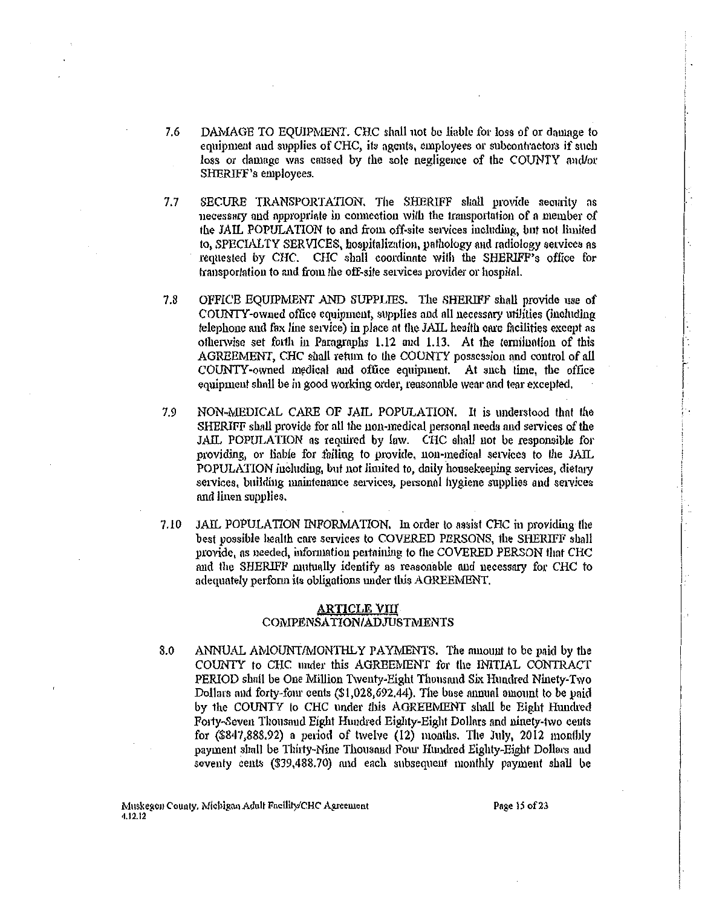- 7.6 DAMAGE TO EQUIPMENT. CHC shall not be liable for loss of or damage to equipment and supplies of CHC, its agents, employees or subcontractors if such loss or damage was caused by the sole negligence of the COUNTY and/or SHERIFF's employees.
- $7.7$ SECURE TRANSPORTATION, The SHERIFF shall provide security as necessary and appropriate in connection with the transportation of a member of the JAIL POPULATION to and from off-site services including, but not limited to, SPECIALTY SERVICES, hospitalization, pathology and radiology services as requested by CHC. CHC shall coordinate with the SHERIFF's office for transportation to and from the off-site services provider or hospital.
- $7.8$ OFFICE EQUIPMENT AND SUPPLIES. The SHERIFF shall provide use of COUNTY-owned office equipment, supplies and all necessary utilities (including telephone and fax line service) in place at the JAIL health care facilities except as otherwise set forth in Paragraphs 1.12 and 1.13. At the termination of this AGREEMENT, CHC shall return to the COUNTY possession and control of all COUNTY-owned medical and office equipment. At such lime, the office equipment shall be in good working order, reasonable wear and tear excepted.
- 7.9 NON-MEDICAL CARE OF JAIL POPULATION. It is understood that the SHERIFF shall provide for all the non-medical personal needs and services of the JAIL POPULATION as required by law. CHC shall not be responsible for providing, or liable for failing to provide, non-medical services to the JAIL POPULATION including, but not limited to, daily housekeeping services, dietary services, building maintenance services, personal hygiene supplies and services and linen supplies.
- JAIL POPULATION INFORMATION. In order to assist CHC in providing the  $7.10$ best possible health care services to COVERED PERSONS, the SHERIFF shall provide, as needed, information pertaining to the COVERED PERSON that CHC and the SHERIFF mutually identify as reasonable and necessary for CHC to adequately perform its obligations under this AGREEMENT.

## <u>ARTICLE VIII</u> COMPENSATION/ADJUSTMENTS

8.0 ANNUAL AMOUNT/MONTHLY PAYMENTS. The mnount to be paid by the COUNTY to CHC under this AGREEMENT for the INITIAL CONTRACT PERIOD shall be One Million Twenty-Eight Thousand Six Hundred Ninety-Two Dollars and forty-four cents (\$1,028,692.44). The base annual amount to be paid by the COUNTY to CHC under this AGREEMENT shall be Eight Hundred Forty-Seven Thousand Eight Hundred Eighty-Eight Dollars and ninety-two cents for  $(S847,888.92)$  a period of twelve  $(12)$  months. The July, 2012 monthly payment shall be Thirty-Nine Thousand Four Hundred Eighty-Eight Dollars and seventy cents (\$39,488.70) and each subsequent monthly payment shall be

Page 15 of 23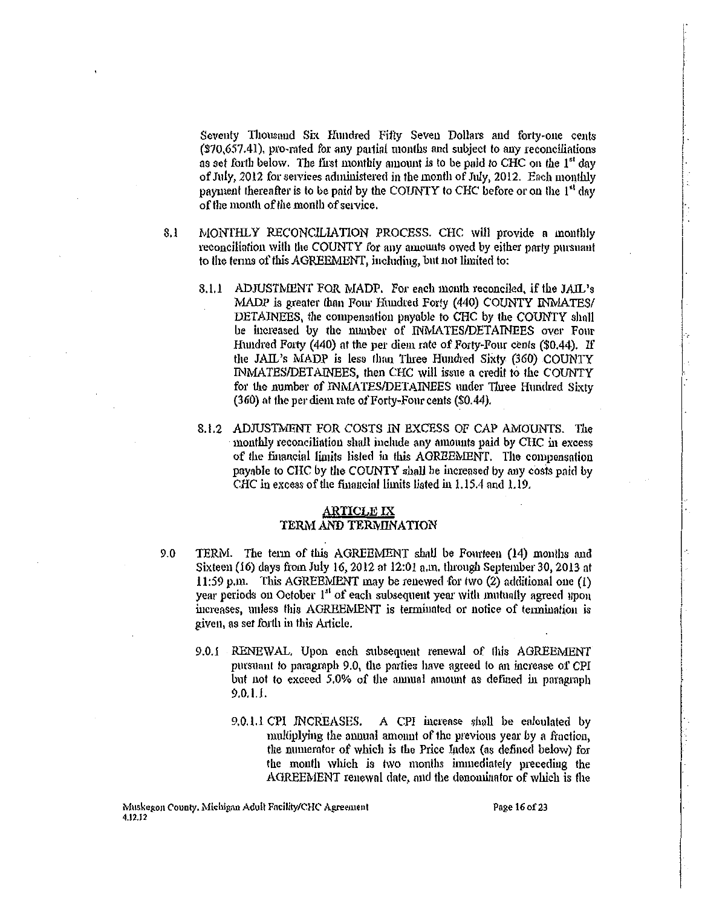Seventy Thousand Six Hundred Fifty Seven Dollars and forty-one cents (\$70,657.41), pro-mted for any pat1ial months and subject to any reconciliations ns set fot1h below. The first monthly amount *is* to be paid to CHC on the 1" day of July, 2012 for services administered in the month of July, 2012. Each monthly payment thereafter is to be paid by the COUNTY to CHC before or on the 1<sup>st</sup> day oftlte month of the month of setvice.

 $\begin{array}{c}\n\downarrow \\
\downarrow \\
\downarrow\n\end{array}$ I I. ļ. i /.  $\vert$  .  $\vert$  :

I.

- 8.1 MONTHLY RECONCILIATION PROCESS. CHC will provide n monthly reconciliation with the COUNTY for any amounts owed by either party pursuant to the terms of this AGREEMENT, inchiding, but not limited to:
	- 8.1.1 ADJUSTMENT FOR MADP. For each month reconciled, if the JAIL's MADP is greater than Four Hundred Forty (440) COUNTY INMATES/ DETAINEES, the compensation payable to CHC by the COUNTY shall be increased by the number of INMATES/DETAINEES over Four Hundred Forty (440) at the per diem rate of Forty-Four cents (\$0.44). If the JAIL's MADP is less than Three Huudred SiXty (360) COUNTY INMATES/DETAINEES, then CHC will issue a credit to the COUNTY for the number of INMATES/DETAINEES under Three Hundred Sixty (360) nt the per diem rate of Forty-Four cents (\$0.44).
	- 8.1.2 ADJUSTMENT FOR COSTS IN EXCESS OF CAP AMOUNTS. The monthly reconciliation shall include any amounts paid by CHC in excess of the financial limits listed in this AGREEMENT. The compensation payable to CHC by Ute COUNTY shall be increased by any costs paid by CHC in excess of the furancial limits listed in 1.15.4 and 1.19.

## **ARTICLE IX** TERM AND TERMINATION

- 9.0 TERM. The term of this AGREEMENT shall be Fourteen (14) months and Sixteen (16) days from July 16, 2012 at 12:01 a.m. through September 30, 2013 at 11:59 p.m. This AGREEMENT may be renewed for two (2) additional one (1) year periods on October 1<sup>st</sup> of each subsequent year with mutually agreed upon increases, unless this AGREEMENT is terminated or notice of termination is given, ns set f01th in this Article.
	- 9.0.1 RENEWAL. Upon each subsequent renewal of this AGREEMENT pursuant to paragraph 9.0, the parties have agreed to nn increase of CPI but not to exceed 5.0% of the annual amount as defined in paragraph 9.0.1.1.
		- 9.0.1.1 CPI INCREASES. A CPI increase shall be calculated by multiplying the annual amount of the previous year by a fraction, the numerator of which is the Price Index (as defined below) for the month which is two months immediately preceding the AGREEMENT renewal date, and the denominator of wbich is the

Page 16 of 23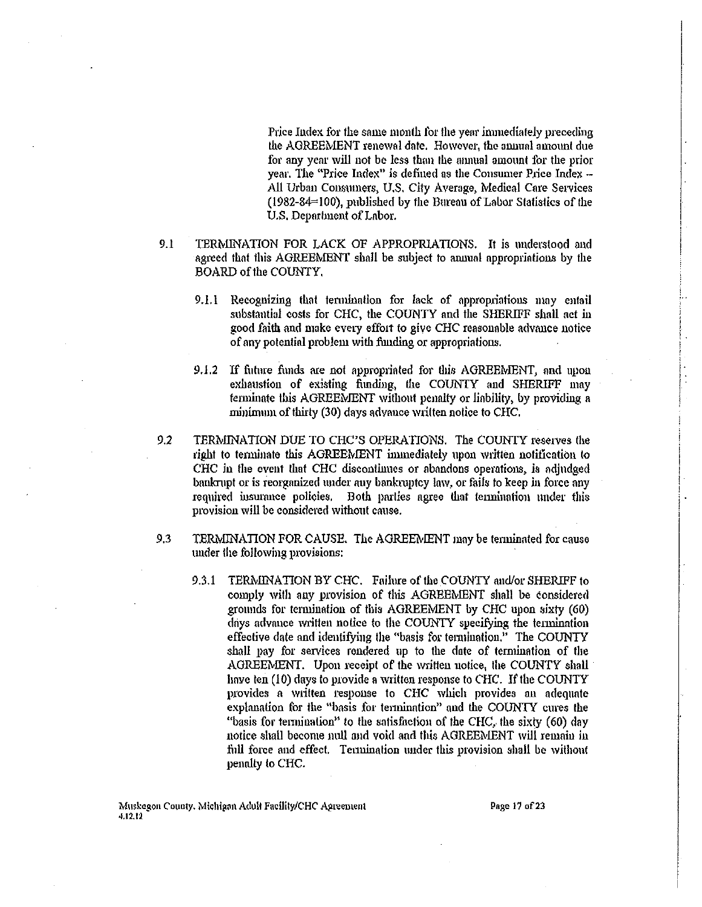Price Index for the same month for the year immediately preceding the AGREEMENT renewal date. However, the annual amount due for any year will not be less than the annual amount for the prior year. The "Price Index" is defined as the Consumer Price Index -All Urban Consumers, U.S. City Average, Medical Care Services (1982-84=100), published by the Bureau of Labor Statistics of the U.S. Department of Labor.

- $9.1$ TERMINATION FOR LACK OF APPROPRIATIONS. It is understood and agreed that this AGREEMENT shall be subject to annual appropriations by the BOARD of the COUNTY,
	- 9.1.1 Recognizing that termination for lack of appropriations may entail substantial costs for CHC, the COUNTY and the SHERIFF shall act in good faith and make every effort to give CHC reasonable advance notice of any potential problem with funding or appropriations.
	- 9.1.2 If future funds are not appropriated for this AGREEMENT, and upon exhaustion of existing funding, the COUNTY and SHERIFF may terminate this AGREEMENT without penalty or liability, by providing a minimum of thirty (30) days advance written notice to CHC.
- TERMINATION DUE TO CHC'S OPERATIONS. The COUNTY reserves the  $9.2$ right to terminate this AGREEMENT immediately upon written notification to CHC in the event that CHC discontinues or abandons operations, is adiudged bankrupt or is reorganized under any bankruptcy law, or fails to keep in force any required insurance policies. Both parties agree that termination under this provision will be considered without cause.
- 9.3 TERMINATION FOR CAUSE. The AGREEMENT may be terminated for cause under the following provisions:
	- 9.3.1 TERMINATION BY CHC. Failure of the COUNTY and/or SHERIFF to comply with any provision of this AGREEMENT shall be considered grounds for termination of this AGREEMENT by CHC upon sixty (60) days advance written notice to the COUNTY specifying the termination effective date and identifying the "basis for termination." The COUNTY shall pay for services rendered up to the date of termination of the AGREEMENT. Upon receipt of the written notice, the COUNTY shall have ten (10) days to provide a written response to CHC. If the COUNTY provides a written response to CHC which provides an adequate explanation for the "basis for termination" and the COUNTY cures the "basis for termination" to the satisfaction of the CHC, the sixty (60) day notice shall become null and void and this AGREEMENT will remain in full force and effect. Termination under this provision shall be without penalty to CHC.

Page 17 of 23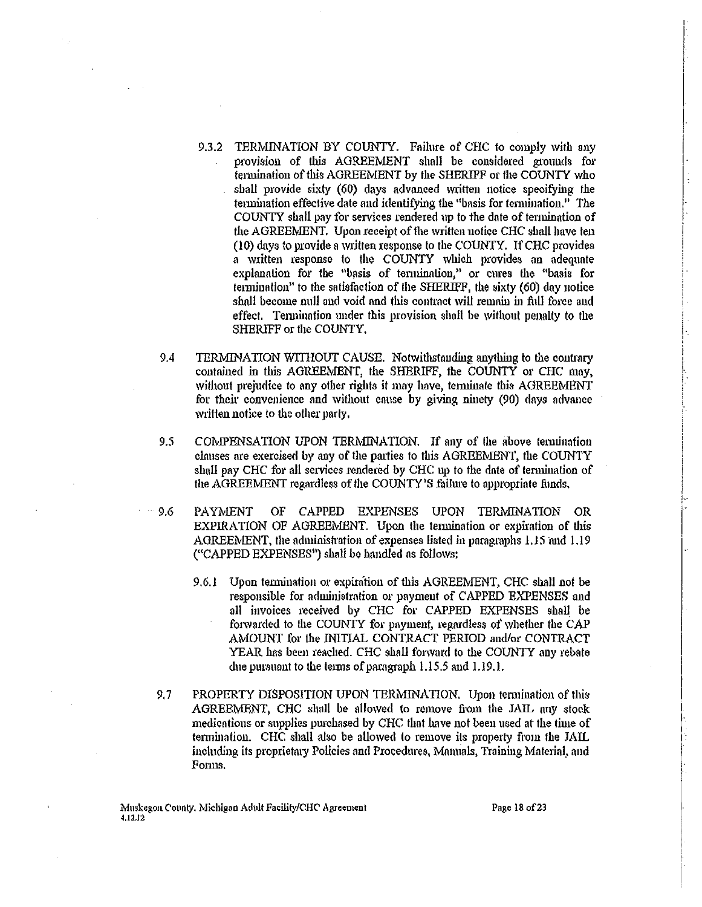- 9.3.2 TERMINATION BY COUNTY. Failure of CHC to comply with any provision of this AGREEMENT shall be considered grounds for termination of this AGREEMENT by the SHERIFF or the COUNTY who shall provide sixty (60) days advanced written notice specifying the termination effective date and identifying the "basis for termination." The COUNTY shall pay for services rendered 11p to the date of tennination of the AGREEMENT. Upon receipt of the written notice CHC shall have ten (10) dnys to provide a written response to the COUNTY. If CHC provides a written response to the COUNTY which provides an adequate explanntion for the "basis of tenninntion," or cures the "basis for tennination" to the satisfaction of the SHERIFF, the sixty (60) dny notice shall become null and void and this contract will remain in full force and effect. Termination under this provision shall be without penalty to the SHERIFF or the COUNTY,
- 9.4 TERMINATION WITHOUT CAUSE. Notwithstanding anything to the contrary contained in this AGREEMENT, the SHERIFF, the COUNTY or CHC may, without prejudice to any other rights it may have, terminate this AGREEMENT for their convenience and without cause by giving ninety (90) days advance written notice to the other party.
- 9.5 COMPENSATION UPON TERMINATION. If any of the above tennination clauses are exercised by any of the parties to this AGREEMENT, the COUNTY shall pay CHC for all services rendered by CHC up to the date of termination of the AGREEMENT regardless of the COUNTY'S failure to appropriate funds.
- 9.6 PAYMENT OF CAPPED EXPENSES UPON TERMINATION OR EXPIRATION OF AGREEMENT. Upon the tennination or expiration of this AGREEMENT, the administration of expenses listed in paragraphs 1.15 and 1.19 ("CAPPED EXPENSES") shall be handled ns follows:
	- 9.6.1 Upon termination or expiration of this AGREEMENT, CHC shall not be responsible for administration or payment of CAPPED EXPENSES and all invoices received by CHC for CAPPED EXPENSES shall be forwarded to the COUNTY for payment, regardless of whether the CAP AMOUNT for the INITIAL CONTRACT PERIOD aud/or CONTRACT YEAR has been reached. CHC shall forward to the COUNTY any rebate due pursuant to the terms of paragraph  $1.15.5$  and  $1.19.1$ .
- 9.7 PROPERTY DISPOSITION UPON TERMINATION. Upon termination of this AGREEMENT, CHC shall be allowed to remove from the JAIL any stock medications or supplies purchased by CHC that have not been used at the time of termination. CHC shall also be allowed to remove ils property from the JAIL including its proprietary Policies and Procedures, Manuals, Training Material, and Fonns.

Page 18 of 23

I  $\left\vert \cdot\right\vert$ 

i i

]·. j: ' '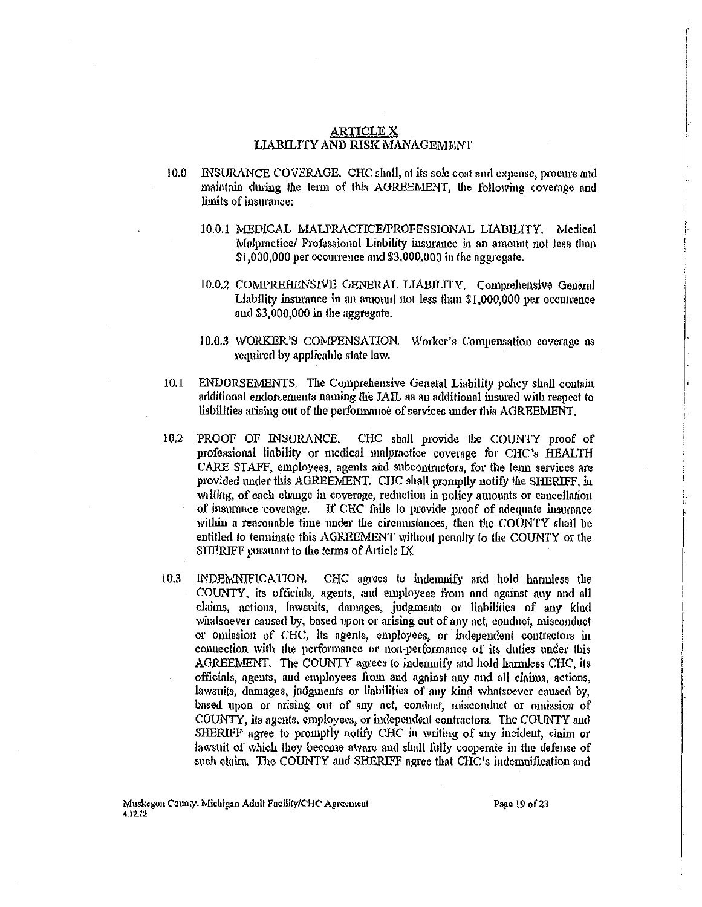## **ARTICLE X** LIABILITY AND RISK MANAGEMENT

- $10.0$ INSURANCE COVERAGE. CHC shall, at its sole cost and expense, procure and maintain during the term of this AGREEMENT, the following coverage and limits of insurance:
	- 10.0.1 MEDICAL MALPRACTICE/PROFESSIONAL LIABILITY. Medical Malpractice/ Professional Liability insurance in an amount not less than  $$1,000,000$  per occurrence and  $$3,000,000$  in the aggregate.
	- 10.0.2 COMPREHENSIVE GENERAL LIABILITY. Comprehensive General Liability insurance in an amount not less than \$1,000,000 per occurrence and \$3,000,000 in the aggregate.
	- 10.0.3 WORKER'S COMPENSATION. Worker's Compensation coverage as required by applicable state law.
- $10.1$ ENDORSEMENTS. The Comprehensive General Liability policy shall contain additional endorsements naming the JAIL as an additional insured with respect to liabilities arising out of the performance of services under this AGREEMENT.
- 10.2 PROOF OF INSURANCE, CHC shall provide the COUNTY proof of professional liability or medical malpractice coverage for CHC's HEALTH CARE STAFF, employees, agents and subcontractors, for the term services are provided under this AGREEMENT. CHC shall promptly notify the SHERIFF, in writing, of each change in coverage, reduction in policy amounts or cancellation of insurance coverage. If CHC fails to provide proof of adequate insurance within a reasonable time under the circumstances, then the COUNTY shall be entitled to terminate this AGREEMENT without penalty to the COUNTY or the SHERIFF pursuant to the terms of Article IX.
- $10.3$ INDEMINIFICATION. CHC agrees to indemnify and hold harmless the COUNTY, its officials, agents, and employees from and against any and all claims, actions, lawsuits, damages, judgments or liabilities of any kind whatsoever caused by, based upon or arising out of any act, conduct, misconduct or omission of CHC, its agents, employees, or independent contractors in connection with the performance or non-performance of its duties under this AGREEMENT. The COUNTY agrees to indemnify and hold hamnless CHC, its officials, agents, and employees from and against any and all claims, actions, lawsuits, damages, judgments or liabilities of any kind whatsoever caused by, based upon or arising out of any act, conduct, misconduct or omission of COUNTY, its agents, employees, or independent contractors. The COUNTY and SHERIFF agree to promptly notify CHC in writing of any incident, claim or lawsuit of which they become awarc and shall fully cooperate in the defense of such claim. The COUNTY and SHERIFF agree that CHC's indemnification and

Page 19 of 23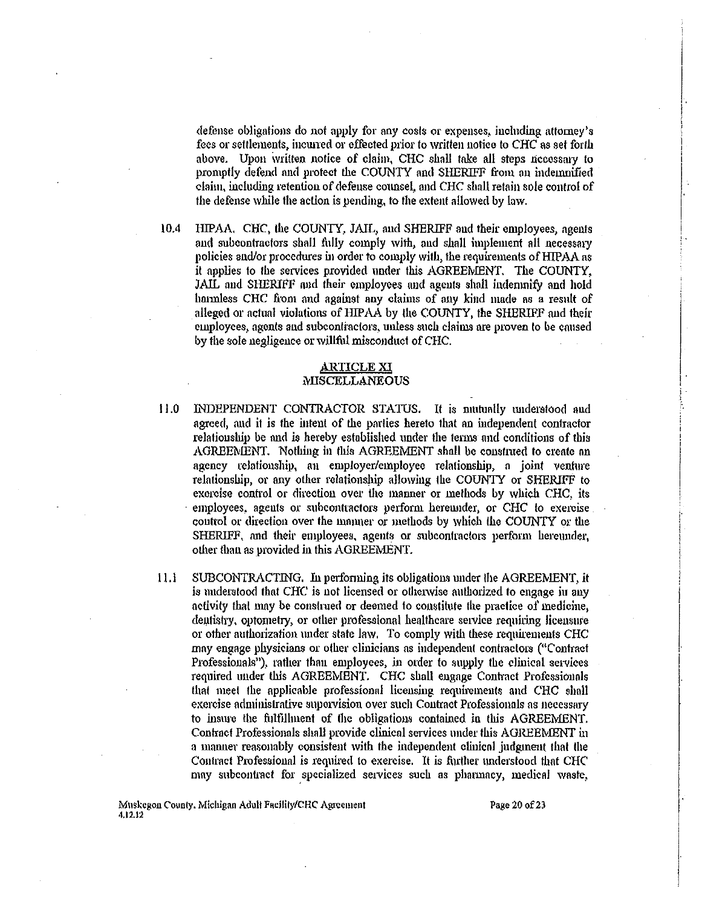defense obligations do not apply for any costs or expenses, including attorney's fees or settlements, incwred or effected prior to written notice to *CHC* as set forth above. Upon ivrilten notice of claim, CHC shall take all steps necossmy to promptly defend and protect the COUNTY and SHERIFF from an indemnified claim, including retention of defense counsel, and CHC shall retain sole control of the defense while the action is pending, to the extent allowed by law.

I

 $\left| \cdot \right|$ !

 $\Big\}$  . '

,. I ! l '

10.4 HIPAA. CHC, the COUNTY, JAIL, and SHERIFF and their employees, agents and subcontractors shall fully comply with, and shall implement all necessary policies and/or procedures in order to comply with, the requirements of HIPAA as it applies to the services provided under this AGREEMENT. The COUNTY, JAIL and SHERIFF and their employees and agents shall indenmify and hold hannless CHC from and against any claims of any kind made as a result of alleged or actual violations of HIPAA by the COUNTY, the SHERIFF and their employees, agents and subcontractors, unless such claims are proven to be caused by the sole negligence or willful misconduct of CHC.

## ARTICLE XI MISCELLANEOUS

- I 1.0 INDEPENDENT CONTRACTOR STATUS. It is mutually tmdemtood and agreed, and it is the iutent of the parties hereto that an independent contractor relationship be and is hereby established under the terms and conditions of this AGREEMENT. Nothing in this AGREEMENT shall be construed to create an agency relationship, an employer/employee relationship, a joint venture relationship, or any other relationship allowing the COUNTY or SHERIFF to exercise control or direction over the manner or methods by which CHC, its employees, agents or subcontractors perform hereunder, or CHC to exercise control or direction over the manner or methods by which the COUNTY or the SHERIFF, and their employees. agents or subcontractors perform hereunder, other than as provided in this AGREEMENT.
- $11.1$  SUBCONTRACTING. In performing its obligations under the AGREEMENT, it is understood that CHC is not licensed or otherwise authorized to engage in any activity that may be construed or deemed to constitute the practice of medicine, dentistry, optometry, or other professional healthcare service requiring licensure or other authorization under state law. To comply with these requirements CHC may engage physicians or other clinicians as independent contractors ("Contract Professionals"), rather than employees, in order to supply the clinical services required under this AGREEMENT. CHC shall engage Contract Professionals that meet the applicable professional licensing requirements and CHC shall exercise administrative supervision over such Contract Professionals ns necessnry to insure the fulfillment of the obligations contained in this AGREEMENT. Contract Professionals shall provide clinical services under this AGREEMENT in a manner reasonably consistent with the independent clinical judgment that the Contract Professional is required to exercise. It is further understood that CHC may subcontract for specialized services such as pharmacy, medical waste,

Muskegon County. Michigan Adult Facility/CHC Agreement 4.12.12

Page 20 of 23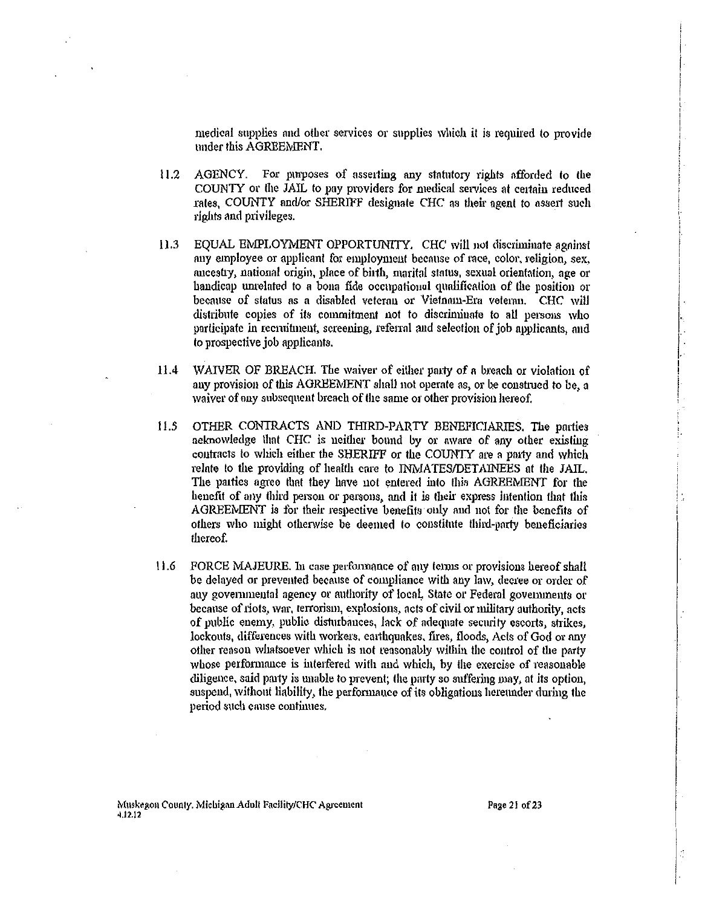medical supplies and other services or supplies which it is required to provide under this AGREEMENT.

- AGENCY. For purposes of asserting any statutory rights afforded to the  $11.2$ COUNTY or the JAIL to pay providers for medical services at certain reduced rates, COUNTY and/or SHERIFF designate CHC as their agent to assert such rights and privileges.
- EQUAL EMPLOYMENT OPPORTUNITY. CHC will not discriminate against  $11.3$ any employee or applicant for employment because of race, color, religion, sex, aucestry, national origin, place of birth, marital status, sexual orientation, age or handicap unrelated to a bona fide occupational qualification of the position or because of status as a disabled veteral or Vietnam-Era veteran. CHC will distribute copies of its commitment not to discriminate to all persons who participate in recruitment, screening, referral and selection of job applicants, and to prospective job applicants.
- $11.4$ WAIVER OF BREACH. The waiver of either party of a breach or violation of any provision of this AGREEMENT shall not operate as, or be construed to be, a waiver of any subsequent breach of the same or other provision hereof.
- $11.5$ OTHER CONTRACTS AND THIRD-PARTY BENEFICIARIES. The parties aeknowledge that CHC is neither bound by or aware of any other existing contracts to which either the SHERIFF or the COUNTY are a party and which relate to the providing of health care to INMATES/DETAINEES at the JAIL. The parties agree that they have not entered into this AGREEMENT for the henefit of any third person or persons, and it is their express intention that this AGREEMENT is for their respective benefits only and not for the benefits of others who might otherwise be deemed to constitute third-party beneficiaries thereof.
- $11.6$ FORCE MAJEURE. In case performance of any terms or provisions hereof shall be delayed or prevented because of compliance with any law, decree or order of any governmental agency or authority of local. State or Federal governments or because of riots, war, terrorism, explosions, acts of civil or military authority, acts of public enemy, public disturbances, lack of adequate security escorts, strikes, lockouts, differences with workers, earthquakes, fires, floods, Acts of God or any other reason whatsoever which is not reasonably within the control of the party whose performance is interfered with and which, by the exercise of reasonable diligence, said party is unable to prevent; the party so suffering may, at its option, suspend, without liability, the performance of its obligations hereunder during the period such cause continues.

Page 21 of 23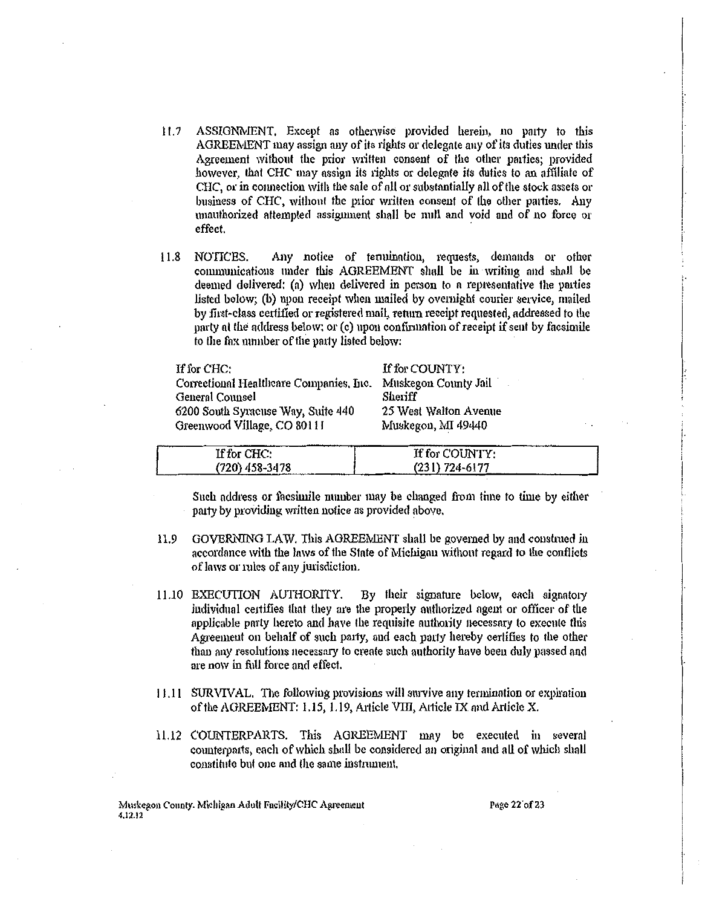- ASSIGNMENT. Except as otherwise provided herein, no party to this  $11.7$ AGREEMENT may assign any of its rights or delegate any of its duties under this Agreement without the prior written consent of the other parties: provided however, that CHC may assign its rights or delegate its duties to an affiliate of CHC, or in connection with the sale of all or substantially all of the stock assets or business of CHC, without the prior written consent of the other parties. Any unauthorized attempted assignment shall be null and void and of no force or effect.
- Any notice of termination, requests, demands or other 11.8 NOTICES. communications under this AGREEMENT shall be in writing and shall be deemed delivered; (a) when delivered in person to a representative the parties listed below: (b) upon receipt when mailed by overnight courier service, mailed by first-class certified or registered mail, return receipt requested, addressed to the party at the address below; or (c) upon confirmation of receipt if sent by facsimile to the fax number of the party listed below:

If for CHC:

Correctional Healthcare Companies, Inc. General Counsel 6200 South Syracuse Way, Suite 440 Greenwood Village, CO 80111

If for COUNTY: Muskegon County Jail Sheriff 25 West Walton Avenue Muskegon, MI 49440

| If for CHC:                                                                | If for COUNTY:     |
|----------------------------------------------------------------------------|--------------------|
| (720) 458-3478<br>The first policy and construction of the construction of | $(231) 724 - 6177$ |

Such address or facsimile number may be changed from time to time by either party by providing written notice as provided above.

- GOVERNING LAW. This AGREEMENT shall be governed by and construed in  $11.9$ accordance with the laws of the State of Michigan without regard to the conflicts of laws or rules of any jurisdiction.
- By their signature below, each signatory 11.10 EXECUTION AUTHORITY. individual certifies that they are the properly authorized agent or officer of the applicable party hereto and have the requisite authority necessary to execute this Agreement on behalf of such party, and each party hereby certifies to the other than any resolutions necessary to create such authority have been duly passed and are now in full force and effect.
- 11.11 SURVIVAL. The following provisions will survive any termination or expiration of the AGREEMENT: 1.15, 1.19, Article VIII, Article IX and Article X.
- 11.12 COUNTERPARTS. This AGREEMENT may be executed in several counterparts, each of which shall be considered an original and all of which shall constitute but one and the same instrument.

Muskegon County. Michigan Adult Facility/CHC Agreement 4.12.12

Page 22 of 23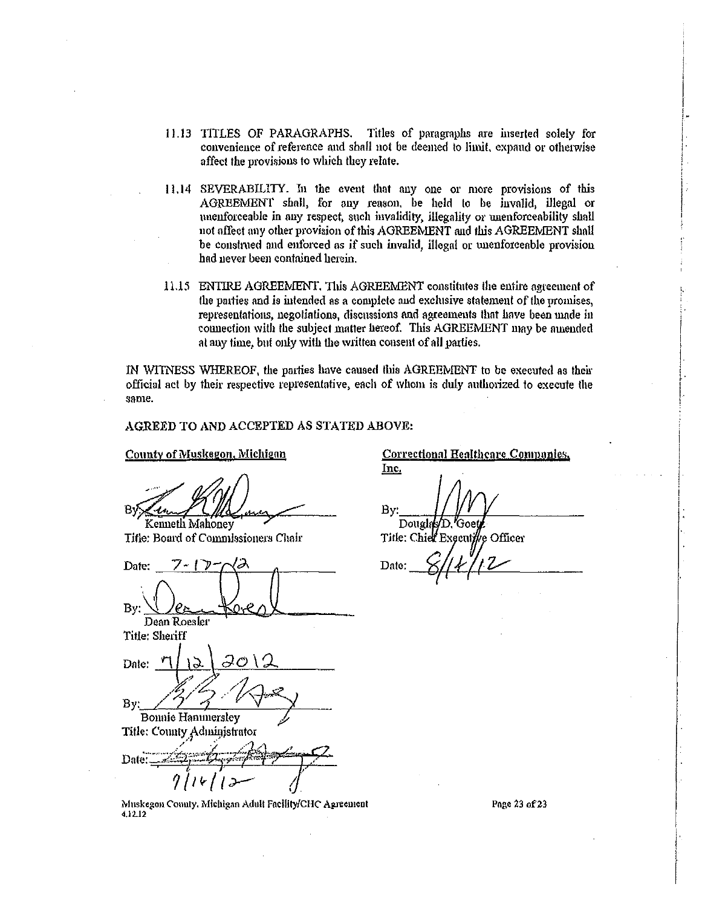- 11.13 TITLES OF PARAGRAPHS. Titles of paragraphs are inserted solely for convenience of reference and shall not be deemed to limit, expand or otherwise affect the provisions to which they relate.
- 11.14 SEVERABILITY. In the event that any one or more provisions of this AGREEMENT shall, for any reason, be held to be invalid, illegal or unenforceable in any respect, such invalidity, illegality or unenforceability shall not affect any other provision of this AGREEMENT and this AGREEMENT shall be construed and enforced as if such invalid, illegal or unenforceable provision had never been contained herein.
- 11.15 ENTIRE AGREEMENT, This AGREEMENT constitutes the entire agreement of the parties and is intended as a complete and exclusive statement of the promises, representations, negotiations, discussions and agreements that have been made in connection with the subject matter hereof. This AGREEMENT may be annended at any time, but only with the written consent of all parties.

IN WITNESS WHEREOF, the parties have caused this AGREEMENT to be executed as their official act by their respective representative, each of whom is duly authorized to execute the same.

## AGREED TO AND ACCEPTED AS STATED ABOVE:

County of Muskegon, Michigan

Kenneth Mahoney

Title: Board of Commissioners Chair

Date: ワーーアー By: Dean Roesler Title: Sheriff Date: By: **Bonnie Hannmersley** Title: County Administrator Date:

Muskegon County, Michigan Adult Facility/CHC Agreement 4.12.12

**Correctional Healthcare Companies,** Inc. By: Douglas Title: Chief Executi le Officer Date:

Page 23 of 23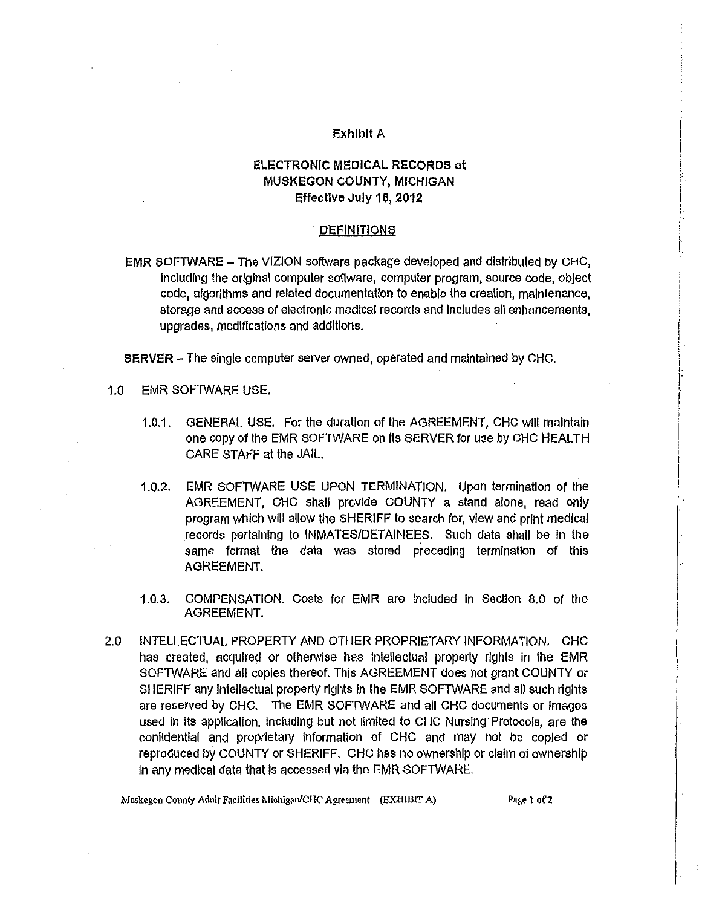## Exhibit A

# ELECTRONIC MEDICAL RECORDS at MUSKEGON COUNTY, MICHIGAN Effective July 16, 2012

#### **DEFINITIONS**

EMR SOFTWARE  $-$  The VIZION software package developed and distributed by CHC, Including the original computer software, computer program, source code, object code, algorithms and related documentation to enable the creation, maintenance, storage and access of electronic medical records and Includes all enhancements, upgrades, modifications and additions.

SERVER - The single computer server owned, operated and maintained by CHC.

- 1.0 EMR SOFTWARE USE.
	- 1.0.1. GENERAL USE. For the duration of the AGREEMENT, CHC Will maintain one copy of the EMR SOFTWARE on its SERVER for use by CHC HEALTH CARE STAFF at the JAIL.
	- 1.0.2. EMR SOFTWARE USE UPON TERMINATION. Upon termination of the AGREEMENT, CHC shall provide COUNTY a stand alone, read only program which will allow the SHERIFF to search for, view and print medical records pertaining to INMATES/DETAINEES. Such data shall be In the same format the data was stored preceding termination of this AGREEMENT.
	- 1.0.3. COMPENSATION. Costs for EMR are Included in section 8.0 of the AGREEMENT.
- 2.0 INTELLECTUAL PROPERTY AND OTHER PROPRIETARY INFORMATION. CHC has created, acquired or otherwise has Intellectual property rights In the EMR SOFTWARE and all copies thereof. This AGREEMENT does not grant COUNTY or SHERIFF any intellectual property rights in the EMR SOFTWARE and all such rights are reserved by CHC. The EMR SOFTWARE and all CHC documents or Images used in its application, including but not limited to CHC Nursing· Protocols, are the confidential and proprietary Information of CHC and may not be copied or reproduced by COUNTY or SHERIFF. CHC has no ownership or claim of ownership In any medical data that Is accessed via the EMR SOFTWARE.

I  $\frac{1}{2}$ 

; I I, I. I

 $\ddot{.}$  $\vdots$ |<br>!

I  $\left| \cdot \right|$ 

I

Muskegon County Adult Facilities Michigan/CHC Agreement (EXHIBIT A) Page 1 of 2